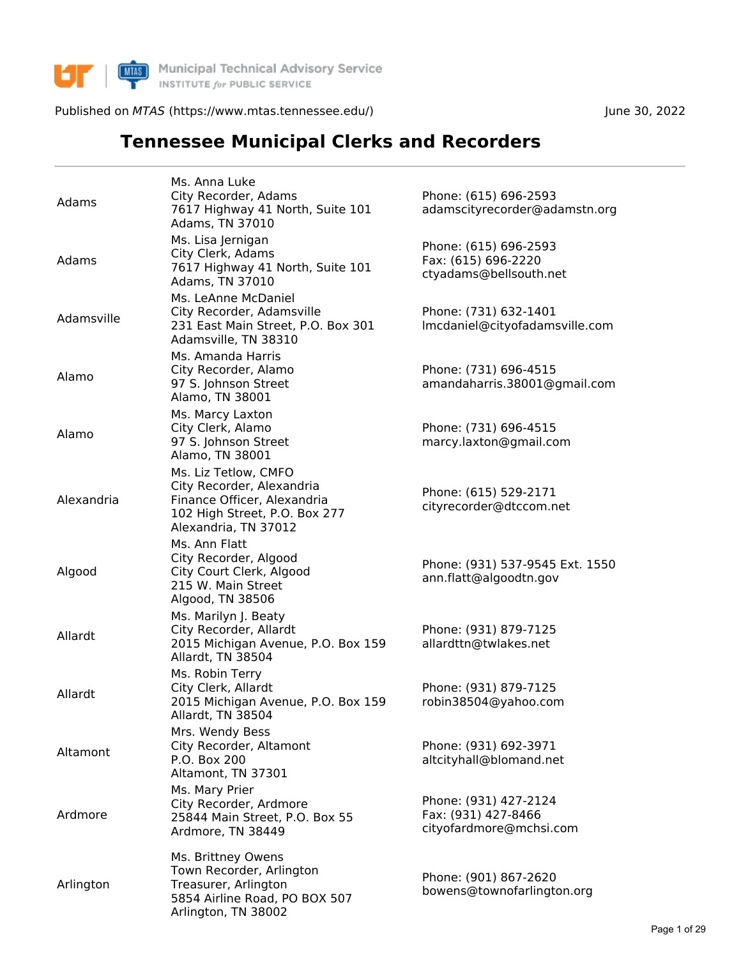

**MAS** Municipal Technical Advisory Service<br>
INSTITUTE for PUBLIC SERVICE

Published on MTAS (https://www.mtas.tennessee.edu/) June 30, 2022

## **Tennessee Municipal Clerks and Recorders**

| Adams      | Ms. Anna Luke<br>City Recorder, Adams<br>7617 Highway 41 North, Suite 101<br>Adams, TN 37010                                              | Phone: (615) 696-2593<br>adamscityrecorder@adamstn.org                  |
|------------|-------------------------------------------------------------------------------------------------------------------------------------------|-------------------------------------------------------------------------|
| Adams      | Ms. Lisa Jernigan<br>City Clerk, Adams<br>7617 Highway 41 North, Suite 101<br>Adams, TN 37010                                             | Phone: (615) 696-2593<br>Fax: (615) 696-2220<br>ctyadams@bellsouth.net  |
| Adamsville | Ms. LeAnne McDaniel<br>City Recorder, Adamsville<br>231 East Main Street, P.O. Box 301<br>Adamsville, TN 38310                            | Phone: (731) 632-1401<br>Imcdaniel@cityofadamsville.com                 |
| Alamo      | Ms. Amanda Harris<br>City Recorder, Alamo<br>97 S. Johnson Street<br>Alamo, TN 38001                                                      | Phone: (731) 696-4515<br>amandaharris.38001@gmail.com                   |
| Alamo      | Ms. Marcy Laxton<br>City Clerk, Alamo<br>97 S. Johnson Street<br>Alamo, TN 38001                                                          | Phone: (731) 696-4515<br>marcy.laxton@gmail.com                         |
| Alexandria | Ms. Liz Tetlow, CMFO<br>City Recorder, Alexandria<br>Finance Officer, Alexandria<br>102 High Street, P.O. Box 277<br>Alexandria, TN 37012 | Phone: (615) 529-2171<br>cityrecorder@dtccom.net                        |
| Algood     | Ms. Ann Flatt<br>City Recorder, Algood<br>City Court Clerk, Algood<br>215 W. Main Street<br>Algood, TN 38506                              | Phone: (931) 537-9545 Ext. 1550<br>ann.flatt@algoodtn.gov               |
| Allardt    | Ms. Marilyn J. Beaty<br>City Recorder, Allardt<br>2015 Michigan Avenue, P.O. Box 159<br>Allardt, TN 38504                                 | Phone: (931) 879-7125<br>allardttn@twlakes.net                          |
| Allardt    | Ms. Robin Terry<br>City Clerk, Allardt<br>2015 Michigan Avenue, P.O. Box 159<br>Allardt, TN 38504                                         | Phone: (931) 879-7125<br>robin38504@yahoo.com                           |
| Altamont   | Mrs. Wendy Bess<br>City Recorder, Altamont<br>P.O. Box 200<br>Altamont, TN 37301                                                          | Phone: (931) 692-3971<br>altcityhall@blomand.net                        |
| Ardmore    | Ms. Mary Prier<br>City Recorder, Ardmore<br>25844 Main Street, P.O. Box 55<br>Ardmore, TN 38449                                           | Phone: (931) 427-2124<br>Fax: (931) 427-8466<br>cityofardmore@mchsi.com |
| Arlington  | Ms. Brittney Owens<br>Town Recorder, Arlington<br>Treasurer, Arlington<br>5854 Airline Road, PO BOX 507<br>Arlington, TN 38002            | Phone: (901) 867-2620<br>bowens@townofarlington.org                     |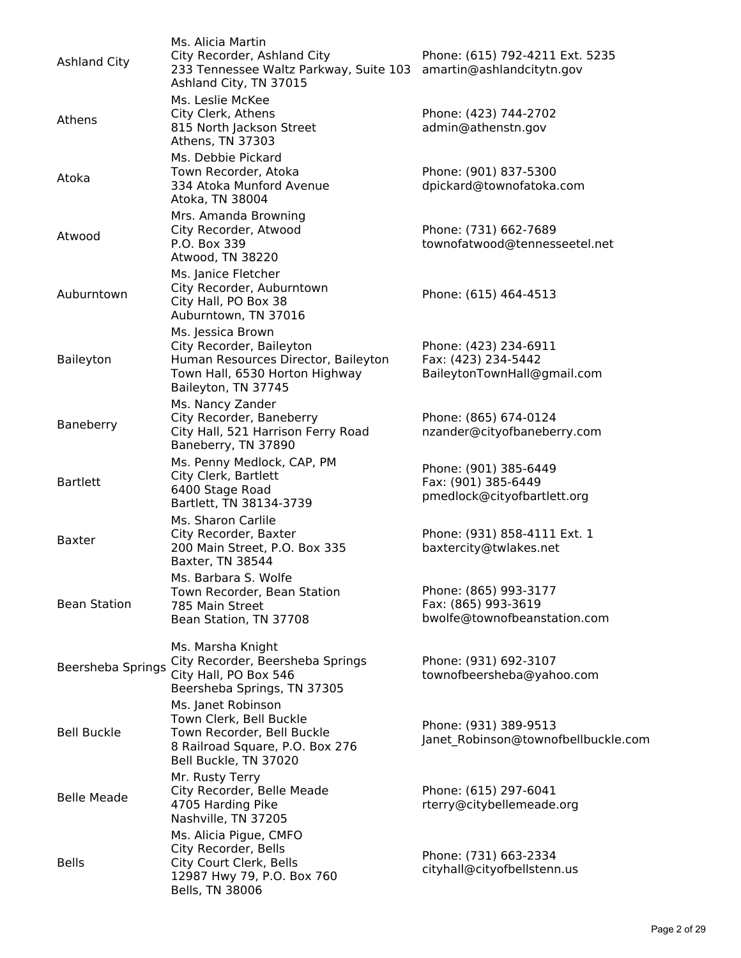| <b>Ashland City</b> | Ms. Alicia Martin<br>City Recorder, Ashland City<br>233 Tennessee Waltz Parkway, Suite 103<br>Ashland City, TN 37015                          | Phone: (615) 792-4211 Ext. 5235<br>amartin@ashlandcitytn.gov                 |
|---------------------|-----------------------------------------------------------------------------------------------------------------------------------------------|------------------------------------------------------------------------------|
| Athens              | Ms. Leslie McKee<br>City Clerk, Athens<br>815 North Jackson Street<br>Athens, TN 37303                                                        | Phone: (423) 744-2702<br>admin@athenstn.gov                                  |
| Atoka               | Ms. Debbie Pickard<br>Town Recorder, Atoka<br>334 Atoka Munford Avenue<br>Atoka, TN 38004                                                     | Phone: (901) 837-5300<br>dpickard@townofatoka.com                            |
| Atwood              | Mrs. Amanda Browning<br>City Recorder, Atwood<br>P.O. Box 339<br>Atwood, TN 38220                                                             | Phone: (731) 662-7689<br>townofatwood@tennesseetel.net                       |
| Auburntown          | Ms. Janice Fletcher<br>City Recorder, Auburntown<br>City Hall, PO Box 38<br>Auburntown, TN 37016                                              | Phone: (615) 464-4513                                                        |
| Baileyton           | Ms. Jessica Brown<br>City Recorder, Baileyton<br>Human Resources Director, Baileyton<br>Town Hall, 6530 Horton Highway<br>Baileyton, TN 37745 | Phone: (423) 234-6911<br>Fax: (423) 234-5442<br>BaileytonTownHall@gmail.com  |
| Baneberry           | Ms. Nancy Zander<br>City Recorder, Baneberry<br>City Hall, 521 Harrison Ferry Road<br>Baneberry, TN 37890                                     | Phone: (865) 674-0124<br>nzander@cityofbaneberry.com                         |
| <b>Bartlett</b>     | Ms. Penny Medlock, CAP, PM<br>City Clerk, Bartlett<br>6400 Stage Road<br>Bartlett, TN 38134-3739                                              | Phone: (901) 385-6449<br>Fax: (901) 385-6449<br>pmedlock@cityofbartlett.org  |
| <b>Baxter</b>       | Ms. Sharon Carlile<br>City Recorder, Baxter<br>200 Main Street, P.O. Box 335<br>Baxter, TN 38544                                              | Phone: (931) 858-4111 Ext. 1<br>baxtercity@twlakes.net                       |
| <b>Bean Station</b> | Ms. Barbara S. Wolfe<br>Town Recorder, Bean Station<br>785 Main Street<br>Bean Station, TN 37708                                              | Phone: (865) 993-3177<br>Fax: (865) 993-3619<br>bwolfe@townofbeanstation.com |
| Beersheba Springs   | Ms. Marsha Knight<br>City Recorder, Beersheba Springs<br>City Hall, PO Box 546<br>Beersheba Springs, TN 37305                                 | Phone: (931) 692-3107<br>townofbeersheba@yahoo.com                           |
| <b>Bell Buckle</b>  | Ms. Janet Robinson<br>Town Clerk, Bell Buckle<br>Town Recorder, Bell Buckle<br>8 Railroad Square, P.O. Box 276<br>Bell Buckle, TN 37020       | Phone: (931) 389-9513<br>Janet Robinson@townofbellbuckle.com                 |
| <b>Belle Meade</b>  | Mr. Rusty Terry<br>City Recorder, Belle Meade<br>4705 Harding Pike<br>Nashville, TN 37205                                                     | Phone: (615) 297-6041<br>rterry@citybellemeade.org                           |
| <b>Bells</b>        | Ms. Alicia Pigue, CMFO<br>City Recorder, Bells<br>City Court Clerk, Bells<br>12987 Hwy 79, P.O. Box 760<br>Bells, TN 38006                    | Phone: (731) 663-2334<br>cityhall@cityofbellstenn.us                         |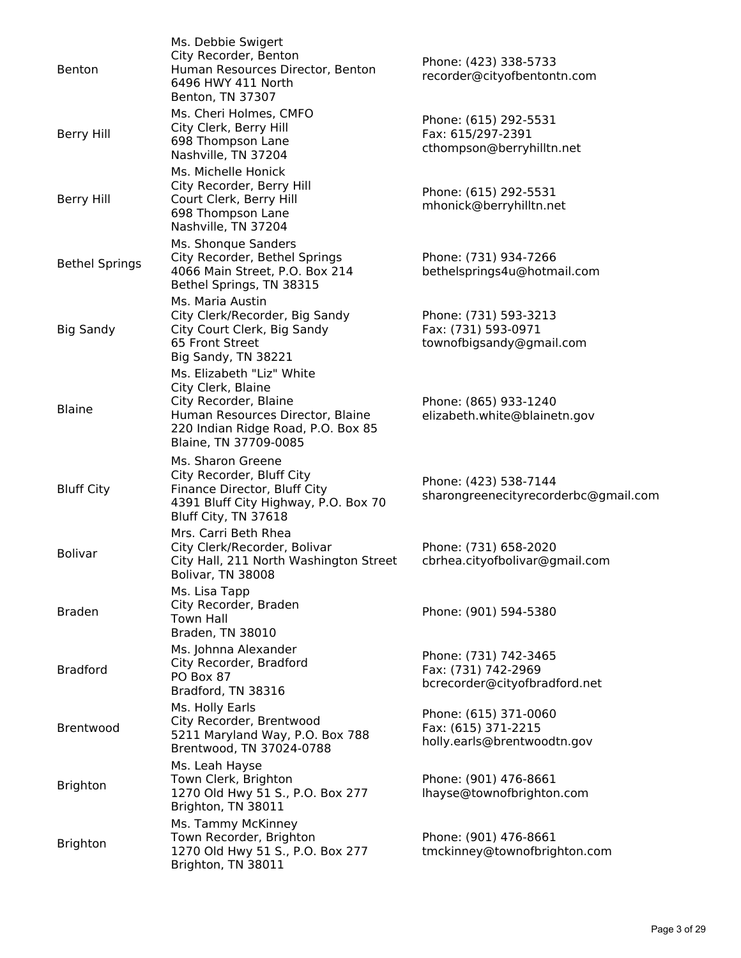| <b>Benton</b>         | Ms. Debbie Swigert<br>City Recorder, Benton<br>Human Resources Director, Benton<br>6496 HWY 411 North<br>Benton, TN 37307                                                   | Phone: (423) 338-5733<br>recorder@cityofbentontn.com                          |
|-----------------------|-----------------------------------------------------------------------------------------------------------------------------------------------------------------------------|-------------------------------------------------------------------------------|
| <b>Berry Hill</b>     | Ms. Cheri Holmes, CMFO<br>City Clerk, Berry Hill<br>698 Thompson Lane<br>Nashville, TN 37204                                                                                | Phone: (615) 292-5531<br>Fax: 615/297-2391<br>cthompson@berryhilltn.net       |
| <b>Berry Hill</b>     | Ms. Michelle Honick<br>City Recorder, Berry Hill<br>Court Clerk, Berry Hill<br>698 Thompson Lane<br>Nashville, TN 37204                                                     | Phone: (615) 292-5531<br>mhonick@berryhilltn.net                              |
| <b>Bethel Springs</b> | Ms. Shonque Sanders<br>City Recorder, Bethel Springs<br>4066 Main Street, P.O. Box 214<br>Bethel Springs, TN 38315                                                          | Phone: (731) 934-7266<br>bethelsprings4u@hotmail.com                          |
| <b>Big Sandy</b>      | Ms. Maria Austin<br>City Clerk/Recorder, Big Sandy<br>City Court Clerk, Big Sandy<br>65 Front Street<br>Big Sandy, TN 38221                                                 | Phone: (731) 593-3213<br>Fax: (731) 593-0971<br>townofbigsandy@gmail.com      |
| <b>Blaine</b>         | Ms. Elizabeth "Liz" White<br>City Clerk, Blaine<br>City Recorder, Blaine<br>Human Resources Director, Blaine<br>220 Indian Ridge Road, P.O. Box 85<br>Blaine, TN 37709-0085 | Phone: (865) 933-1240<br>elizabeth.white@blainetn.gov                         |
| <b>Bluff City</b>     | Ms. Sharon Greene<br>City Recorder, Bluff City<br>Finance Director, Bluff City<br>4391 Bluff City Highway, P.O. Box 70<br>Bluff City, TN 37618                              | Phone: (423) 538-7144<br>sharongreenecityrecorderbc@gmail.com                 |
| <b>Bolivar</b>        | Mrs. Carri Beth Rhea<br>City Clerk/Recorder, Bolivar<br>City Hall, 211 North Washington Street<br>Bolivar, TN 38008                                                         | Phone: (731) 658-2020<br>cbrhea.cityofbolivar@gmail.com                       |
| <b>Braden</b>         | Ms. Lisa Tapp<br>City Recorder, Braden<br><b>Town Hall</b><br>Braden, TN 38010                                                                                              | Phone: (901) 594-5380                                                         |
| <b>Bradford</b>       | Ms. Johnna Alexander<br>City Recorder, Bradford<br>PO Box 87<br>Bradford, TN 38316                                                                                          | Phone: (731) 742-3465<br>Fax: (731) 742-2969<br>bcrecorder@cityofbradford.net |
| Brentwood             | Ms. Holly Earls<br>City Recorder, Brentwood<br>5211 Maryland Way, P.O. Box 788<br>Brentwood, TN 37024-0788                                                                  | Phone: (615) 371-0060<br>Fax: (615) 371-2215<br>holly.earls@brentwoodtn.gov   |
| <b>Brighton</b>       | Ms. Leah Hayse<br>Town Clerk, Brighton<br>1270 Old Hwy 51 S., P.O. Box 277<br>Brighton, TN 38011                                                                            | Phone: (901) 476-8661<br>lhayse@townofbrighton.com                            |
| <b>Brighton</b>       | Ms. Tammy McKinney<br>Town Recorder, Brighton<br>1270 Old Hwy 51 S., P.O. Box 277<br>Brighton, TN 38011                                                                     | Phone: (901) 476-8661<br>tmckinney@townofbrighton.com                         |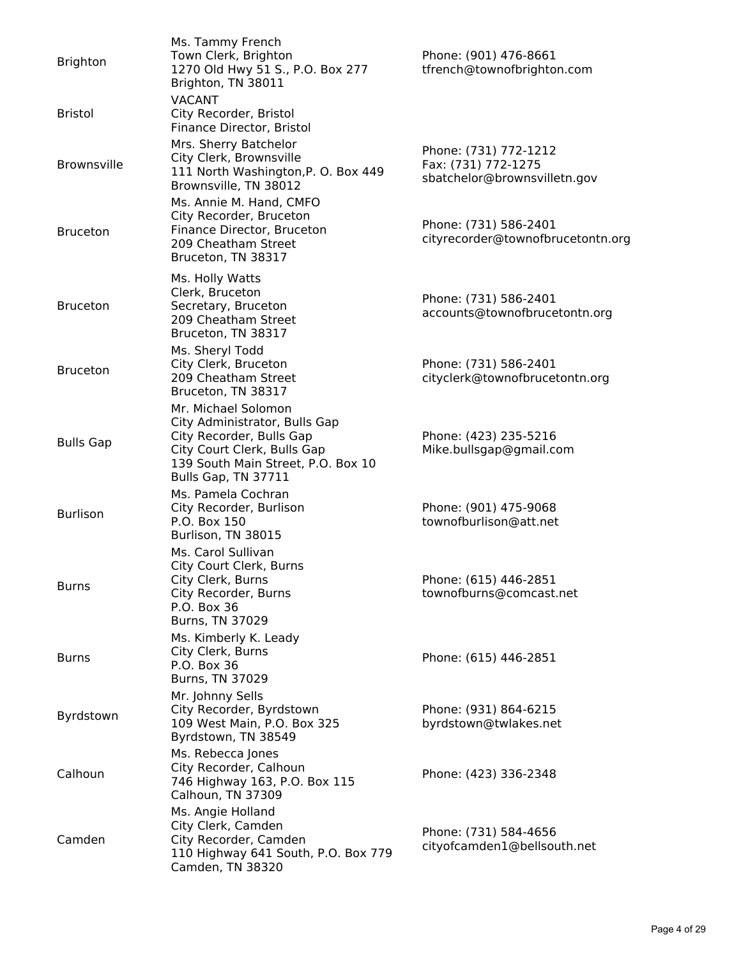| <b>Brighton</b>    | Ms. Tammy French<br>Town Clerk, Brighton<br>1270 Old Hwy 51 S., P.O. Box 277<br>Brighton, TN 38011                                                                           | Phone: (901) 476-8661<br>tfrench@townofbrighton.com                          |
|--------------------|------------------------------------------------------------------------------------------------------------------------------------------------------------------------------|------------------------------------------------------------------------------|
| <b>Bristol</b>     | <b>VACANT</b><br>City Recorder, Bristol<br>Finance Director, Bristol                                                                                                         |                                                                              |
| <b>Brownsville</b> | Mrs. Sherry Batchelor<br>City Clerk, Brownsville<br>111 North Washington, P. O. Box 449<br>Brownsville, TN 38012                                                             | Phone: (731) 772-1212<br>Fax: (731) 772-1275<br>sbatchelor@brownsvilletn.gov |
| <b>Bruceton</b>    | Ms. Annie M. Hand, CMFO<br>City Recorder, Bruceton<br>Finance Director, Bruceton<br>209 Cheatham Street<br>Bruceton, TN 38317                                                | Phone: (731) 586-2401<br>cityrecorder@townofbrucetontn.org                   |
| <b>Bruceton</b>    | Ms. Holly Watts<br>Clerk, Bruceton<br>Secretary, Bruceton<br>209 Cheatham Street<br>Bruceton, TN 38317                                                                       | Phone: (731) 586-2401<br>accounts@townofbrucetontn.org                       |
| <b>Bruceton</b>    | Ms. Sheryl Todd<br>City Clerk, Bruceton<br>209 Cheatham Street<br>Bruceton, TN 38317                                                                                         | Phone: (731) 586-2401<br>cityclerk@townofbrucetontn.org                      |
| <b>Bulls Gap</b>   | Mr. Michael Solomon<br>City Administrator, Bulls Gap<br>City Recorder, Bulls Gap<br>City Court Clerk, Bulls Gap<br>139 South Main Street, P.O. Box 10<br>Bulls Gap, TN 37711 | Phone: (423) 235-5216<br>Mike.bullsgap@gmail.com                             |
| <b>Burlison</b>    | Ms. Pamela Cochran<br>City Recorder, Burlison<br>P.O. Box 150<br>Burlison, TN 38015                                                                                          | Phone: (901) 475-9068<br>townofburlison@att.net                              |
| <b>Burns</b>       | Ms. Carol Sullivan<br>City Court Clerk, Burns<br>City Clerk, Burns<br>City Recorder, Burns<br>P.O. Box 36<br>Burns, TN 37029                                                 | Phone: (615) 446-2851<br>townofburns@comcast.net                             |
| <b>Burns</b>       | Ms. Kimberly K. Leady<br>City Clerk, Burns<br>P.O. Box 36<br>Burns, TN 37029                                                                                                 | Phone: (615) 446-2851                                                        |
| Byrdstown          | Mr. Johnny Sells<br>City Recorder, Byrdstown<br>109 West Main, P.O. Box 325<br>Byrdstown, TN 38549                                                                           | Phone: (931) 864-6215<br>byrdstown@twlakes.net                               |
| Calhoun            | Ms. Rebecca Jones<br>City Recorder, Calhoun<br>746 Highway 163, P.O. Box 115<br>Calhoun, TN 37309                                                                            | Phone: (423) 336-2348                                                        |
| Camden             | Ms. Angie Holland<br>City Clerk, Camden<br>City Recorder, Camden<br>110 Highway 641 South, P.O. Box 779<br>Camden, TN 38320                                                  | Phone: (731) 584-4656<br>cityofcamden1@bellsouth.net                         |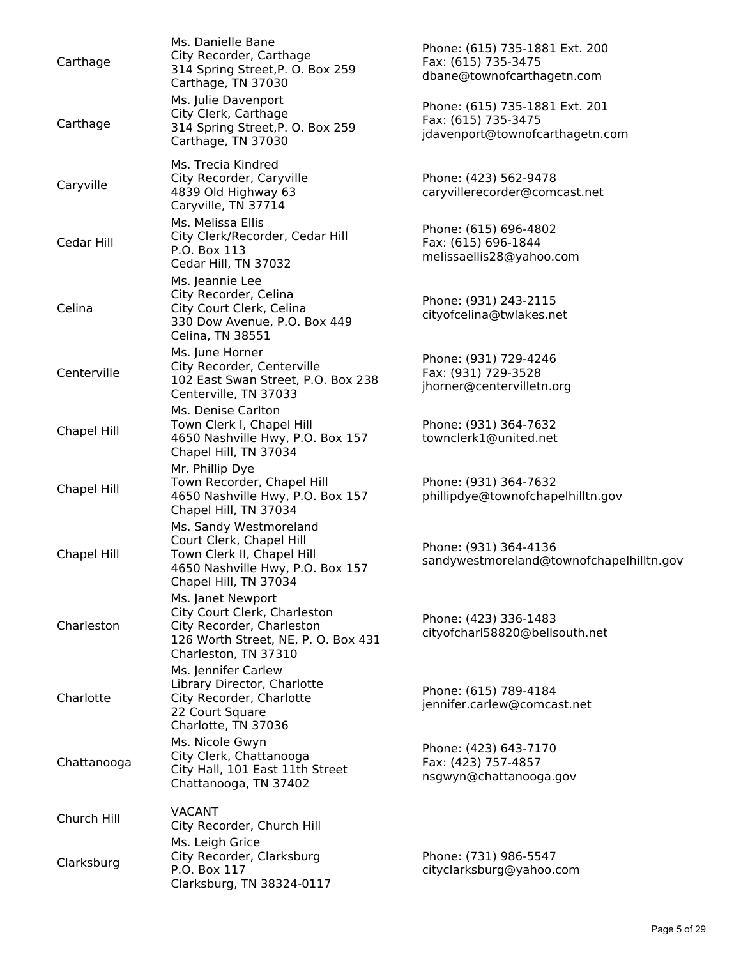| Carthage    | Ms. Danielle Bane<br>City Recorder, Carthage<br>314 Spring Street, P. O. Box 259<br>Carthage, TN 37030                                        | Phone: (615) 735-1881 Ext. 200<br>Fax: (615) 735-3475<br>dbane@townofcarthagetn.com      |
|-------------|-----------------------------------------------------------------------------------------------------------------------------------------------|------------------------------------------------------------------------------------------|
| Carthage    | Ms. Julie Davenport<br>City Clerk, Carthage<br>314 Spring Street, P. O. Box 259<br>Carthage, TN 37030                                         | Phone: (615) 735-1881 Ext. 201<br>Fax: (615) 735-3475<br>jdavenport@townofcarthagetn.com |
| Caryville   | Ms. Trecia Kindred<br>City Recorder, Caryville<br>4839 Old Highway 63<br>Caryville, TN 37714                                                  | Phone: (423) 562-9478<br>caryvillerecorder@comcast.net                                   |
| Cedar Hill  | Ms. Melissa Ellis<br>City Clerk/Recorder, Cedar Hill<br>P.O. Box 113<br>Cedar Hill, TN 37032                                                  | Phone: (615) 696-4802<br>Fax: (615) 696-1844<br>melissaellis28@yahoo.com                 |
| Celina      | Ms. Jeannie Lee<br>City Recorder, Celina<br>City Court Clerk, Celina<br>330 Dow Avenue, P.O. Box 449<br>Celina, TN 38551                      | Phone: (931) 243-2115<br>cityofcelina@twlakes.net                                        |
| Centerville | Ms. June Horner<br>City Recorder, Centerville<br>102 East Swan Street, P.O. Box 238<br>Centerville, TN 37033                                  | Phone: (931) 729-4246<br>Fax: (931) 729-3528<br>jhorner@centervilletn.org                |
| Chapel Hill | Ms. Denise Carlton<br>Town Clerk I, Chapel Hill<br>4650 Nashville Hwy, P.O. Box 157<br>Chapel Hill, TN 37034                                  | Phone: (931) 364-7632<br>townclerk1@united.net                                           |
| Chapel Hill | Mr. Phillip Dye<br>Town Recorder, Chapel Hill<br>4650 Nashville Hwy, P.O. Box 157<br>Chapel Hill, TN 37034                                    | Phone: (931) 364-7632<br>phillipdye@townofchapelhilltn.gov                               |
| Chapel Hill | Ms. Sandy Westmoreland<br>Court Clerk, Chapel Hill<br>Town Clerk II, Chapel Hill<br>4650 Nashville Hwy, P.O. Box 157<br>Chapel Hill, TN 37034 | Phone: (931) 364-4136<br>sandywestmoreland@townofchapelhilltn.gov                        |
| Charleston  | Ms. Janet Newport<br>City Court Clerk, Charleston<br>City Recorder, Charleston<br>126 Worth Street, NE, P. O. Box 431<br>Charleston, TN 37310 | Phone: (423) 336-1483<br>city of charl 58820@bells outh.net                              |
| Charlotte   | Ms. Jennifer Carlew<br>Library Director, Charlotte<br>City Recorder, Charlotte<br>22 Court Square<br>Charlotte, TN 37036                      | Phone: (615) 789-4184<br>jennifer.carlew@comcast.net                                     |
| Chattanooga | Ms. Nicole Gwyn<br>City Clerk, Chattanooga<br>City Hall, 101 East 11th Street<br>Chattanooga, TN 37402                                        | Phone: (423) 643-7170<br>Fax: (423) 757-4857<br>nsgwyn@chattanooga.gov                   |
| Church Hill | <b>VACANT</b><br>City Recorder, Church Hill                                                                                                   |                                                                                          |
| Clarksburg  | Ms. Leigh Grice<br>City Recorder, Clarksburg<br>P.O. Box 117<br>Clarksburg, TN 38324-0117                                                     | Phone: (731) 986-5547<br>cityclarksburg@yahoo.com                                        |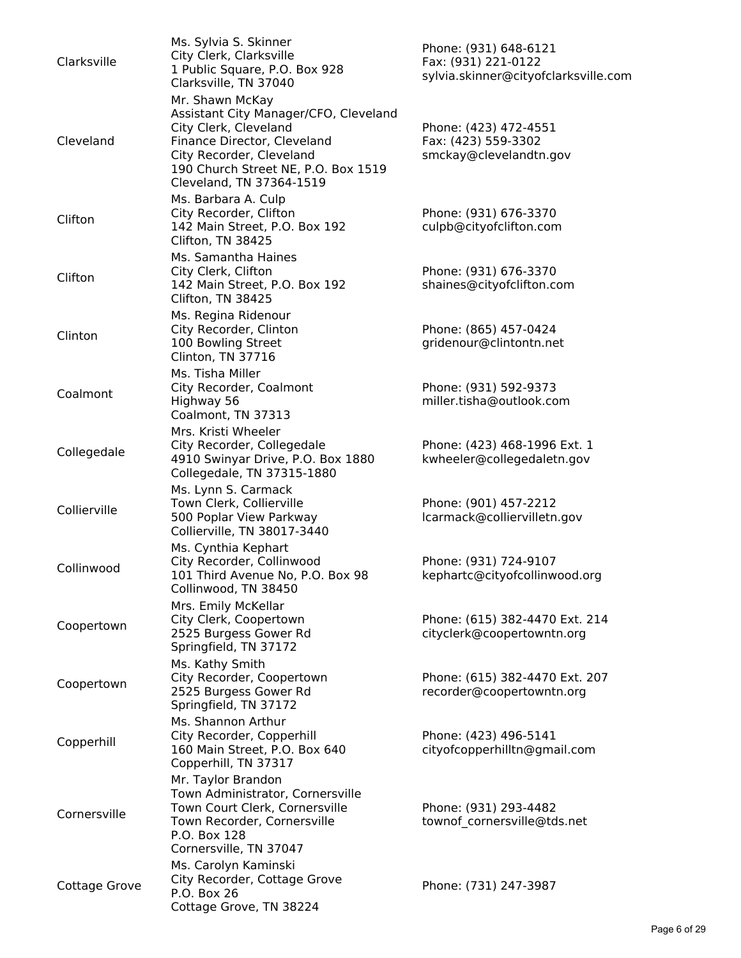| Clarksville   | Ms. Sylvia S. Skinner<br>City Clerk, Clarksville<br>1 Public Square, P.O. Box 928<br>Clarksville, TN 37040<br>Mr. Shawn McKay<br>Assistant City Manager/CFO, Cleveland | Phone: (931) 648-6121<br>Fax: (931) 221-0122<br>sylvia.skinner@cityofclarksville.com |
|---------------|------------------------------------------------------------------------------------------------------------------------------------------------------------------------|--------------------------------------------------------------------------------------|
| Cleveland     | City Clerk, Cleveland<br>Finance Director, Cleveland<br>City Recorder, Cleveland<br>190 Church Street NE, P.O. Box 1519<br>Cleveland, TN 37364-1519                    | Phone: (423) 472-4551<br>Fax: (423) 559-3302<br>smckay@clevelandtn.gov               |
| Clifton       | Ms. Barbara A. Culp<br>City Recorder, Clifton<br>142 Main Street, P.O. Box 192<br>Clifton, TN 38425                                                                    | Phone: (931) 676-3370<br>culpb@cityofclifton.com                                     |
| Clifton       | Ms. Samantha Haines<br>City Clerk, Clifton<br>142 Main Street, P.O. Box 192<br>Clifton, TN 38425                                                                       | Phone: (931) 676-3370<br>shaines@cityofclifton.com                                   |
| Clinton       | Ms. Regina Ridenour<br>City Recorder, Clinton<br>100 Bowling Street<br>Clinton, TN 37716                                                                               | Phone: (865) 457-0424<br>gridenour@clintontn.net                                     |
| Coalmont      | Ms. Tisha Miller<br>City Recorder, Coalmont<br>Highway 56<br>Coalmont, TN 37313                                                                                        | Phone: (931) 592-9373<br>miller.tisha@outlook.com                                    |
| Collegedale   | Mrs. Kristi Wheeler<br>City Recorder, Collegedale<br>4910 Swinyar Drive, P.O. Box 1880<br>Collegedale, TN 37315-1880                                                   | Phone: (423) 468-1996 Ext. 1<br>kwheeler@collegedaletn.gov                           |
| Collierville  | Ms. Lynn S. Carmack<br>Town Clerk, Collierville<br>500 Poplar View Parkway<br>Collierville, TN 38017-3440                                                              | Phone: (901) 457-2212<br>lcarmack@colliervilletn.gov                                 |
| Collinwood    | Ms. Cynthia Kephart<br>City Recorder, Collinwood<br>101 Third Avenue No, P.O. Box 98<br>Collinwood, TN 38450                                                           | Phone: (931) 724-9107<br>kephartc@cityofcollinwood.org                               |
| Coopertown    | Mrs. Emily McKellar<br>City Clerk, Coopertown<br>2525 Burgess Gower Rd<br>Springfield, TN 37172                                                                        | Phone: (615) 382-4470 Ext. 214<br>cityclerk@coopertowntn.org                         |
| Coopertown    | Ms. Kathy Smith<br>City Recorder, Coopertown<br>2525 Burgess Gower Rd<br>Springfield, TN 37172                                                                         | Phone: (615) 382-4470 Ext. 207<br>recorder@coopertowntn.org                          |
| Copperhill    | Ms. Shannon Arthur<br>City Recorder, Copperhill<br>160 Main Street, P.O. Box 640<br>Copperhill, TN 37317                                                               | Phone: (423) 496-5141<br>cityofcopperhilltn@gmail.com                                |
| Cornersville  | Mr. Taylor Brandon<br>Town Administrator, Cornersville<br>Town Court Clerk, Cornersville<br>Town Recorder, Cornersville<br>P.O. Box 128<br>Cornersville, TN 37047      | Phone: (931) 293-4482<br>townof cornersville@tds.net                                 |
| Cottage Grove | Ms. Carolyn Kaminski<br>City Recorder, Cottage Grove<br>P.O. Box 26<br>Cottage Grove, TN 38224                                                                         | Phone: (731) 247-3987                                                                |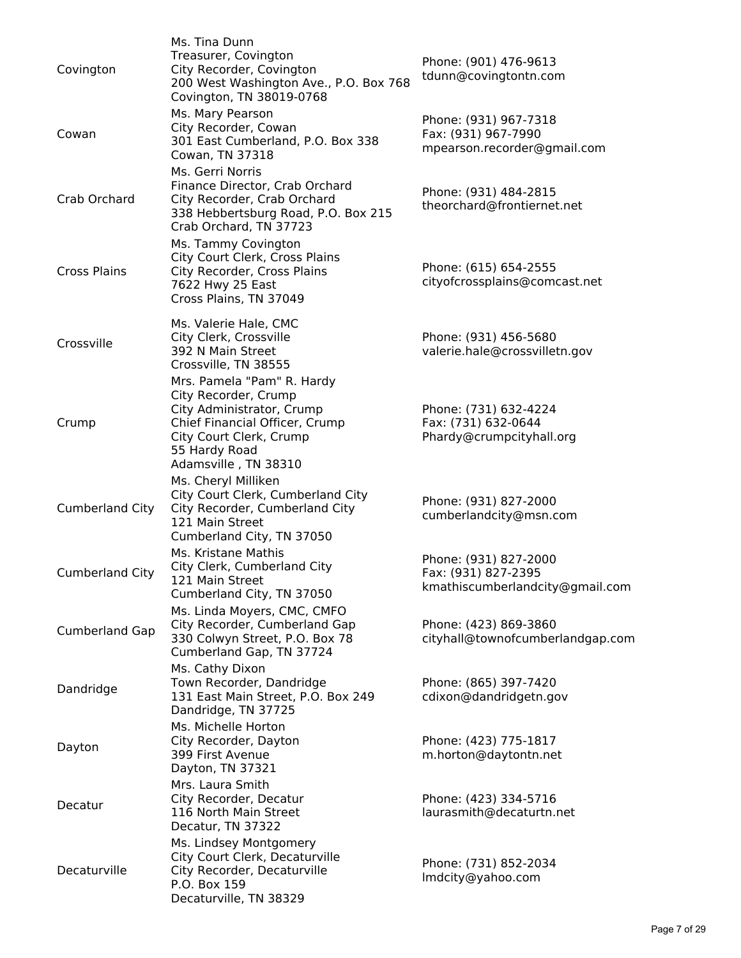| Covington              | Ms. Tina Dunn<br>Treasurer, Covington<br>City Recorder, Covington<br>200 West Washington Ave., P.O. Box 768<br>Covington, TN 38019-0768                                               | Phone: (901) 476-9613<br>tdunn@covingtontn.com                                  |
|------------------------|---------------------------------------------------------------------------------------------------------------------------------------------------------------------------------------|---------------------------------------------------------------------------------|
| Cowan                  | Ms. Mary Pearson<br>City Recorder, Cowan<br>301 East Cumberland, P.O. Box 338<br>Cowan, TN 37318                                                                                      | Phone: (931) 967-7318<br>Fax: (931) 967-7990<br>mpearson.recorder@gmail.com     |
| Crab Orchard           | Ms. Gerri Norris<br>Finance Director, Crab Orchard<br>City Recorder, Crab Orchard<br>338 Hebbertsburg Road, P.O. Box 215<br>Crab Orchard, TN 37723                                    | Phone: (931) 484-2815<br>theorchard@frontiernet.net                             |
| <b>Cross Plains</b>    | Ms. Tammy Covington<br>City Court Clerk, Cross Plains<br>City Recorder, Cross Plains<br>7622 Hwy 25 East<br>Cross Plains, TN 37049                                                    | Phone: (615) 654-2555<br>cityofcrossplains@comcast.net                          |
| Crossville             | Ms. Valerie Hale, CMC<br>City Clerk, Crossville<br>392 N Main Street<br>Crossville, TN 38555                                                                                          | Phone: (931) 456-5680<br>valerie.hale@crossvilletn.gov                          |
| Crump                  | Mrs. Pamela "Pam" R. Hardy<br>City Recorder, Crump<br>City Administrator, Crump<br>Chief Financial Officer, Crump<br>City Court Clerk, Crump<br>55 Hardy Road<br>Adamsville, TN 38310 | Phone: (731) 632-4224<br>Fax: (731) 632-0644<br>Phardy@crumpcityhall.org        |
| <b>Cumberland City</b> | Ms. Cheryl Milliken<br>City Court Clerk, Cumberland City<br>City Recorder, Cumberland City<br>121 Main Street<br>Cumberland City, TN 37050                                            | Phone: (931) 827-2000<br>cumberlandcity@msn.com                                 |
| <b>Cumberland City</b> | Ms. Kristane Mathis<br>City Clerk, Cumberland City<br>121 Main Street<br>Cumberland City, TN 37050                                                                                    | Phone: (931) 827-2000<br>Fax: (931) 827-2395<br>kmathiscumberlandcity@gmail.com |
| <b>Cumberland Gap</b>  | Ms. Linda Moyers, CMC, CMFO<br>City Recorder, Cumberland Gap<br>330 Colwyn Street, P.O. Box 78<br>Cumberland Gap, TN 37724                                                            | Phone: (423) 869-3860<br>cityhall@townofcumberlandgap.com                       |
| Dandridge              | Ms. Cathy Dixon<br>Town Recorder, Dandridge<br>131 East Main Street, P.O. Box 249<br>Dandridge, TN 37725                                                                              | Phone: (865) 397-7420<br>cdixon@dandridgetn.gov                                 |
| Dayton                 | Ms. Michelle Horton<br>City Recorder, Dayton<br>399 First Avenue<br>Dayton, TN 37321                                                                                                  | Phone: (423) 775-1817<br>m.horton@daytontn.net                                  |
| Decatur                | Mrs. Laura Smith<br>City Recorder, Decatur<br>116 North Main Street<br>Decatur, TN 37322                                                                                              | Phone: (423) 334-5716<br>laurasmith@decaturtn.net                               |
| Decaturville           | Ms. Lindsey Montgomery<br>City Court Clerk, Decaturville<br>City Recorder, Decaturville<br>P.O. Box 159<br>Decaturville, TN 38329                                                     | Phone: (731) 852-2034<br>Imdcity@yahoo.com                                      |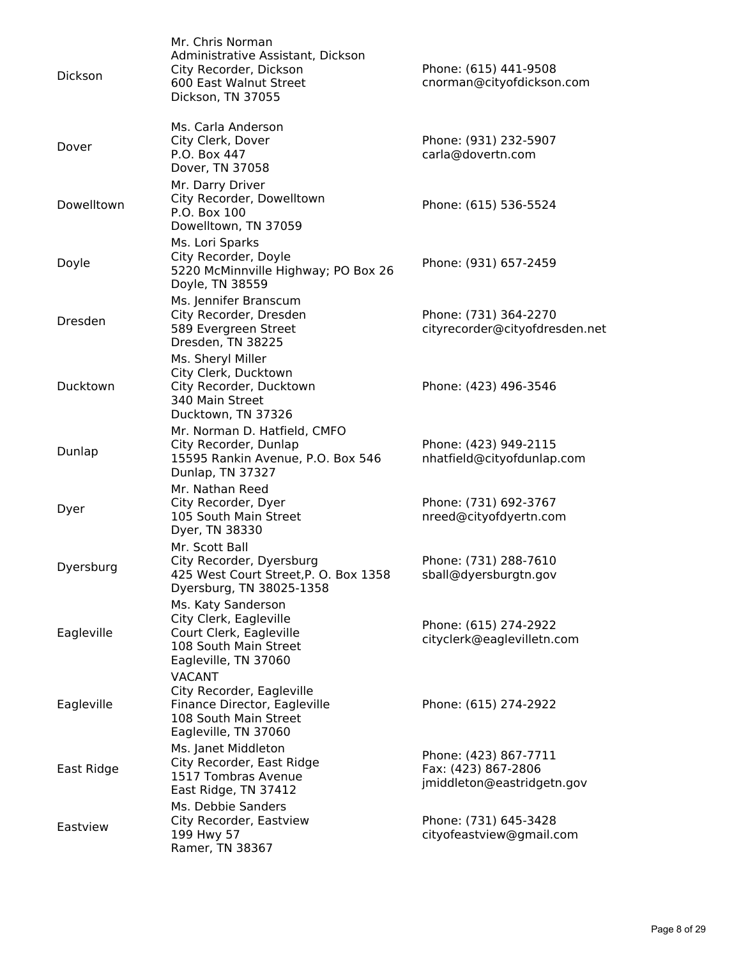| Dickson    | Mr. Chris Norman<br>Administrative Assistant, Dickson<br>City Recorder, Dickson<br>600 East Walnut Street<br>Dickson, TN 37055 | Phone: (615) 441-9508<br>cnorman@cityofdickson.com                         |
|------------|--------------------------------------------------------------------------------------------------------------------------------|----------------------------------------------------------------------------|
| Dover      | Ms. Carla Anderson<br>City Clerk, Dover<br>P.O. Box 447<br>Dover, TN 37058                                                     | Phone: (931) 232-5907<br>carla@dovertn.com                                 |
| Dowelltown | Mr. Darry Driver<br>City Recorder, Dowelltown<br>P.O. Box 100<br>Dowelltown, TN 37059                                          | Phone: (615) 536-5524                                                      |
| Doyle      | Ms. Lori Sparks<br>City Recorder, Doyle<br>5220 McMinnville Highway; PO Box 26<br>Doyle, TN 38559                              | Phone: (931) 657-2459                                                      |
| Dresden    | Ms. Jennifer Branscum<br>City Recorder, Dresden<br>589 Evergreen Street<br>Dresden, TN 38225                                   | Phone: (731) 364-2270<br>cityrecorder@cityofdresden.net                    |
| Ducktown   | Ms. Sheryl Miller<br>City Clerk, Ducktown<br>City Recorder, Ducktown<br>340 Main Street<br>Ducktown, TN 37326                  | Phone: (423) 496-3546                                                      |
| Dunlap     | Mr. Norman D. Hatfield, CMFO<br>City Recorder, Dunlap<br>15595 Rankin Avenue, P.O. Box 546<br>Dunlap, TN 37327                 | Phone: (423) 949-2115<br>nhatfield@cityofdunlap.com                        |
| Dyer       | Mr. Nathan Reed<br>City Recorder, Dyer<br>105 South Main Street<br>Dyer, TN 38330                                              | Phone: (731) 692-3767<br>nreed@cityofdyertn.com                            |
| Dyersburg  | Mr. Scott Ball<br>City Recorder, Dyersburg<br>425 West Court Street, P. O. Box 1358<br>Dyersburg, TN 38025-1358                | Phone: (731) 288-7610<br>sball@dyersburgtn.gov                             |
| Eagleville | Ms. Katy Sanderson<br>City Clerk, Eagleville<br>Court Clerk, Eagleville<br>108 South Main Street<br>Eagleville, TN 37060       | Phone: (615) 274-2922<br>cityclerk@eaglevilletn.com                        |
| Eagleville | <b>VACANT</b><br>City Recorder, Eagleville<br>Finance Director, Eagleville<br>108 South Main Street<br>Eagleville, TN 37060    | Phone: (615) 274-2922                                                      |
| East Ridge | Ms. Janet Middleton<br>City Recorder, East Ridge<br>1517 Tombras Avenue<br>East Ridge, TN 37412                                | Phone: (423) 867-7711<br>Fax: (423) 867-2806<br>jmiddleton@eastridgetn.gov |
| Eastview   | Ms. Debbie Sanders<br>City Recorder, Eastview<br>199 Hwy 57<br>Ramer, TN 38367                                                 | Phone: (731) 645-3428<br>cityofeastview@gmail.com                          |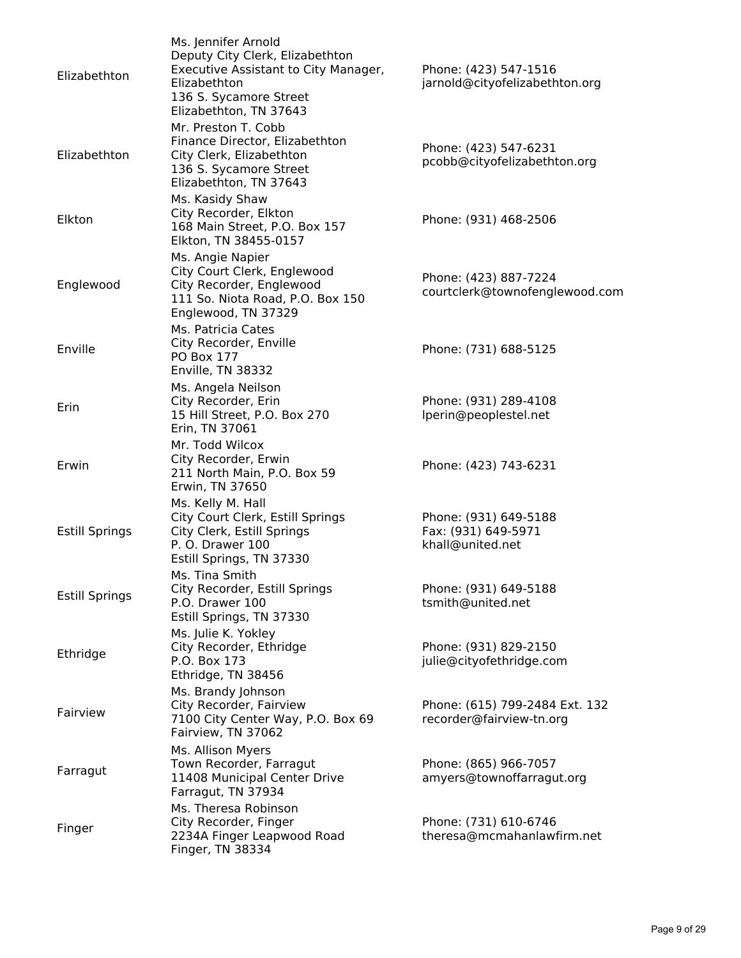| Elizabethton          | Ms. Jennifer Arnold<br>Deputy City Clerk, Elizabethton<br>Executive Assistant to City Manager,<br>Elizabethton<br>136 S. Sycamore Street<br>Elizabethton, TN 37643 | Phone: (423) 547-1516<br>jarnold@cityofelizabethton.org          |
|-----------------------|--------------------------------------------------------------------------------------------------------------------------------------------------------------------|------------------------------------------------------------------|
| Elizabethton          | Mr. Preston T. Cobb<br>Finance Director, Elizabethton<br>City Clerk, Elizabethton<br>136 S. Sycamore Street<br>Elizabethton, TN 37643                              | Phone: (423) 547-6231<br>pcobb@cityofelizabethton.org            |
| Elkton                | Ms. Kasidy Shaw<br>City Recorder, Elkton<br>168 Main Street, P.O. Box 157<br>Elkton, TN 38455-0157                                                                 | Phone: (931) 468-2506                                            |
| Englewood             | Ms. Angie Napier<br>City Court Clerk, Englewood<br>City Recorder, Englewood<br>111 So. Niota Road, P.O. Box 150<br>Englewood, TN 37329                             | Phone: (423) 887-7224<br>courtclerk@townofenglewood.com          |
| Enville               | Ms. Patricia Cates<br>City Recorder, Enville<br>PO Box 177<br>Enville, TN 38332                                                                                    | Phone: (731) 688-5125                                            |
| Erin                  | Ms. Angela Neilson<br>City Recorder, Erin<br>15 Hill Street, P.O. Box 270<br>Erin, TN 37061                                                                        | Phone: (931) 289-4108<br>lperin@peoplestel.net                   |
| Erwin                 | Mr. Todd Wilcox<br>City Recorder, Erwin<br>211 North Main, P.O. Box 59<br>Erwin, TN 37650                                                                          | Phone: (423) 743-6231                                            |
| <b>Estill Springs</b> | Ms. Kelly M. Hall<br>City Court Clerk, Estill Springs<br>City Clerk, Estill Springs<br>P. O. Drawer 100<br>Estill Springs, TN 37330                                | Phone: (931) 649-5188<br>Fax: (931) 649-5971<br>khall@united.net |
| <b>Estill Springs</b> | Ms. Tina Smith<br>City Recorder, Estill Springs<br>P.O. Drawer 100<br>Estill Springs, TN 37330                                                                     | Phone: (931) 649-5188<br>tsmith@united.net                       |
| Ethridge              | Ms. Julie K. Yokley<br>City Recorder, Ethridge<br>P.O. Box 173<br>Ethridge, TN 38456                                                                               | Phone: (931) 829-2150<br>julie@cityofethridge.com                |
| Fairview              | Ms. Brandy Johnson<br>City Recorder, Fairview<br>7100 City Center Way, P.O. Box 69<br>Fairview, TN 37062                                                           | Phone: (615) 799-2484 Ext. 132<br>recorder@fairview-tn.org       |
| Farragut              | Ms. Allison Myers<br>Town Recorder, Farragut<br>11408 Municipal Center Drive<br>Farragut, TN 37934                                                                 | Phone: (865) 966-7057<br>amyers@townoffarragut.org               |
| Finger                | Ms. Theresa Robinson<br>City Recorder, Finger<br>2234A Finger Leapwood Road<br>Finger, TN 38334                                                                    | Phone: (731) 610-6746<br>theresa@mcmahanlawfirm.net              |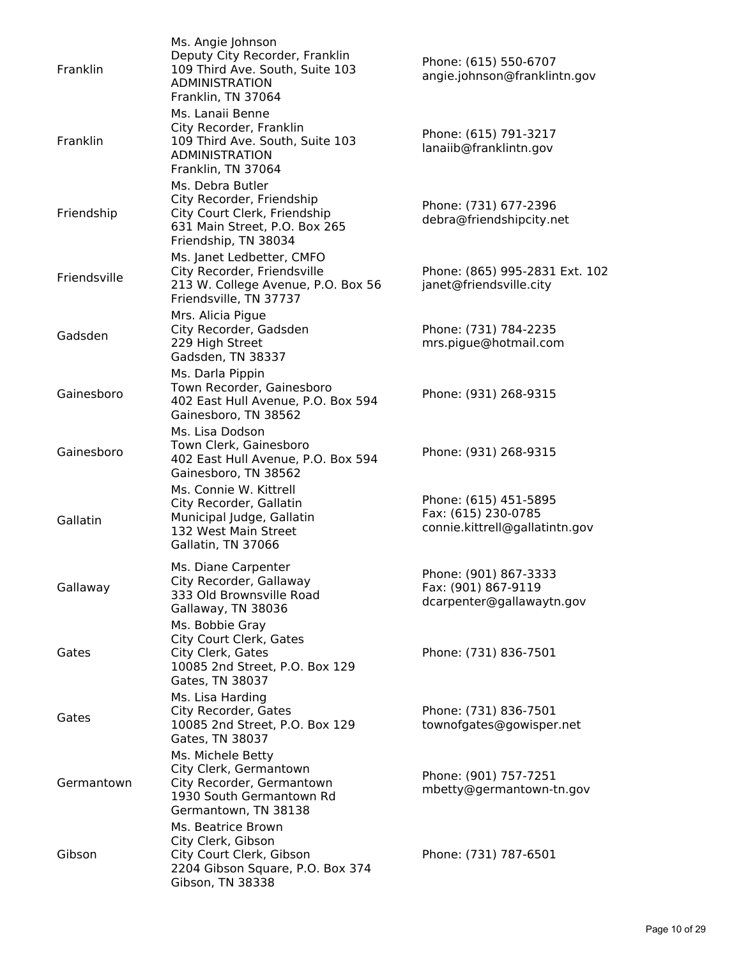| Franklin     | Ms. Angie Johnson<br>Deputy City Recorder, Franklin<br>109 Third Ave. South, Suite 103<br><b>ADMINISTRATION</b><br>Franklin, TN 37064  | Phone: (615) 550-6707<br>angie.johnson@franklintn.gov                          |
|--------------|----------------------------------------------------------------------------------------------------------------------------------------|--------------------------------------------------------------------------------|
| Franklin     | Ms. Lanaii Benne<br>City Recorder, Franklin<br>109 Third Ave. South, Suite 103<br><b>ADMINISTRATION</b><br>Franklin, TN 37064          | Phone: (615) 791-3217<br>lanaiib@franklintn.gov                                |
| Friendship   | Ms. Debra Butler<br>City Recorder, Friendship<br>City Court Clerk, Friendship<br>631 Main Street, P.O. Box 265<br>Friendship, TN 38034 | Phone: (731) 677-2396<br>debra@friendshipcity.net                              |
| Friendsville | Ms. Janet Ledbetter, CMFO<br>City Recorder, Friendsville<br>213 W. College Avenue, P.O. Box 56<br>Friendsville, TN 37737               | Phone: (865) 995-2831 Ext. 102<br>janet@friendsville.city                      |
| Gadsden      | Mrs. Alicia Pigue<br>City Recorder, Gadsden<br>229 High Street<br>Gadsden, TN 38337                                                    | Phone: (731) 784-2235<br>mrs.pigue@hotmail.com                                 |
| Gainesboro   | Ms. Darla Pippin<br>Town Recorder, Gainesboro<br>402 East Hull Avenue, P.O. Box 594<br>Gainesboro, TN 38562                            | Phone: (931) 268-9315                                                          |
| Gainesboro   | Ms. Lisa Dodson<br>Town Clerk, Gainesboro<br>402 East Hull Avenue, P.O. Box 594<br>Gainesboro, TN 38562                                | Phone: (931) 268-9315                                                          |
| Gallatin     | Ms. Connie W. Kittrell<br>City Recorder, Gallatin<br>Municipal Judge, Gallatin<br>132 West Main Street<br>Gallatin, TN 37066           | Phone: (615) 451-5895<br>Fax: (615) 230-0785<br>connie.kittrell@gallatintn.gov |
| Gallaway     | Ms. Diane Carpenter<br>City Recorder, Gallaway<br>333 Old Brownsville Road<br>Gallaway, TN 38036                                       | Phone: (901) 867-3333<br>Fax: (901) 867-9119<br>dcarpenter@gallawaytn.gov      |
| Gates        | Ms. Bobbie Gray<br>City Court Clerk, Gates<br>City Clerk, Gates<br>10085 2nd Street, P.O. Box 129<br>Gates, TN 38037                   | Phone: (731) 836-7501                                                          |
| Gates        | Ms. Lisa Harding<br>City Recorder, Gates<br>10085 2nd Street, P.O. Box 129<br>Gates, TN 38037                                          | Phone: (731) 836-7501<br>townofgates@gowisper.net                              |
| Germantown   | Ms. Michele Betty<br>City Clerk, Germantown<br>City Recorder, Germantown<br>1930 South Germantown Rd<br>Germantown, TN 38138           | Phone: (901) 757-7251<br>mbetty@germantown-tn.gov                              |
| Gibson       | Ms. Beatrice Brown<br>City Clerk, Gibson<br>City Court Clerk, Gibson<br>2204 Gibson Square, P.O. Box 374<br>Gibson, TN 38338           | Phone: (731) 787-6501                                                          |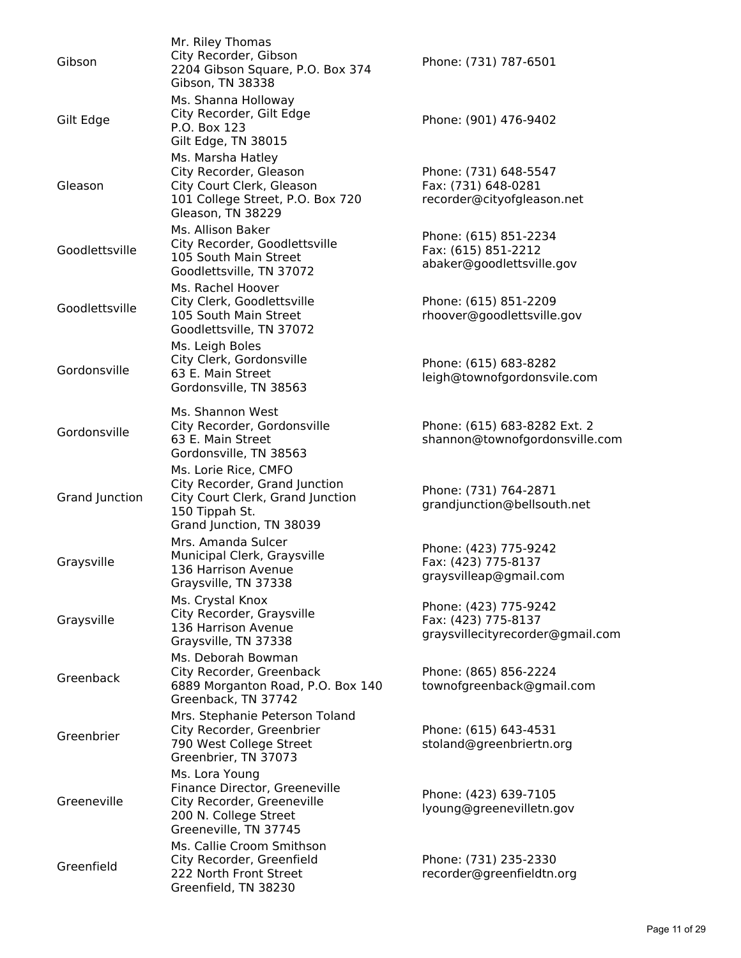| Gibson         | Mr. Riley Thomas<br>City Recorder, Gibson<br>2204 Gibson Square, P.O. Box 374<br>Gibson, TN 38338                                       | Phone: (731) 787-6501                                                            |
|----------------|-----------------------------------------------------------------------------------------------------------------------------------------|----------------------------------------------------------------------------------|
| Gilt Edge      | Ms. Shanna Holloway<br>City Recorder, Gilt Edge<br>P.O. Box 123<br>Gilt Edge, TN 38015                                                  | Phone: (901) 476-9402                                                            |
| Gleason        | Ms. Marsha Hatley<br>City Recorder, Gleason<br>City Court Clerk, Gleason<br>101 College Street, P.O. Box 720<br>Gleason, TN 38229       | Phone: (731) 648-5547<br>Fax: (731) 648-0281<br>recorder@cityofgleason.net       |
| Goodlettsville | Ms. Allison Baker<br>City Recorder, Goodlettsville<br>105 South Main Street<br>Goodlettsville, TN 37072                                 | Phone: (615) 851-2234<br>Fax: (615) 851-2212<br>abaker@goodlettsville.gov        |
| Goodlettsville | Ms. Rachel Hoover<br>City Clerk, Goodlettsville<br>105 South Main Street<br>Goodlettsville, TN 37072                                    | Phone: (615) 851-2209<br>rhoover@goodlettsville.gov                              |
| Gordonsville   | Ms. Leigh Boles<br>City Clerk, Gordonsville<br>63 E. Main Street<br>Gordonsville, TN 38563                                              | Phone: (615) 683-8282<br>leigh@townofgordonsvile.com                             |
| Gordonsville   | Ms. Shannon West<br>City Recorder, Gordonsville<br>63 E. Main Street<br>Gordonsville, TN 38563                                          | Phone: (615) 683-8282 Ext. 2<br>shannon@townofgordonsville.com                   |
| Grand Junction | Ms. Lorie Rice, CMFO<br>City Recorder, Grand Junction<br>City Court Clerk, Grand Junction<br>150 Tippah St.<br>Grand Junction, TN 38039 | Phone: (731) 764-2871<br>grandjunction@bellsouth.net                             |
| Graysville     | Mrs. Amanda Sulcer<br>Municipal Clerk, Graysville<br>136 Harrison Avenue<br>Graysville, TN 37338                                        | Phone: (423) 775-9242<br>Fax: (423) 775-8137<br>graysvilleap@gmail.com           |
| Graysville     | Ms. Crystal Knox<br>City Recorder, Graysville<br>136 Harrison Avenue<br>Graysville, TN 37338                                            | Phone: (423) 775-9242<br>Fax: (423) 775-8137<br>graysvillecityrecorder@gmail.com |
| Greenback      | Ms. Deborah Bowman<br>City Recorder, Greenback<br>6889 Morganton Road, P.O. Box 140<br>Greenback, TN 37742                              | Phone: (865) 856-2224<br>townofgreenback@gmail.com                               |
| Greenbrier     | Mrs. Stephanie Peterson Toland<br>City Recorder, Greenbrier<br>790 West College Street<br>Greenbrier, TN 37073                          | Phone: (615) 643-4531<br>stoland@greenbriertn.org                                |
| Greeneville    | Ms. Lora Young<br>Finance Director, Greeneville<br>City Recorder, Greeneville<br>200 N. College Street<br>Greeneville, TN 37745         | Phone: (423) 639-7105<br>lyoung@greenevilletn.gov                                |
| Greenfield     | Ms. Callie Croom Smithson<br>City Recorder, Greenfield<br>222 North Front Street<br>Greenfield, TN 38230                                | Phone: (731) 235-2330<br>recorder@greenfieldtn.org                               |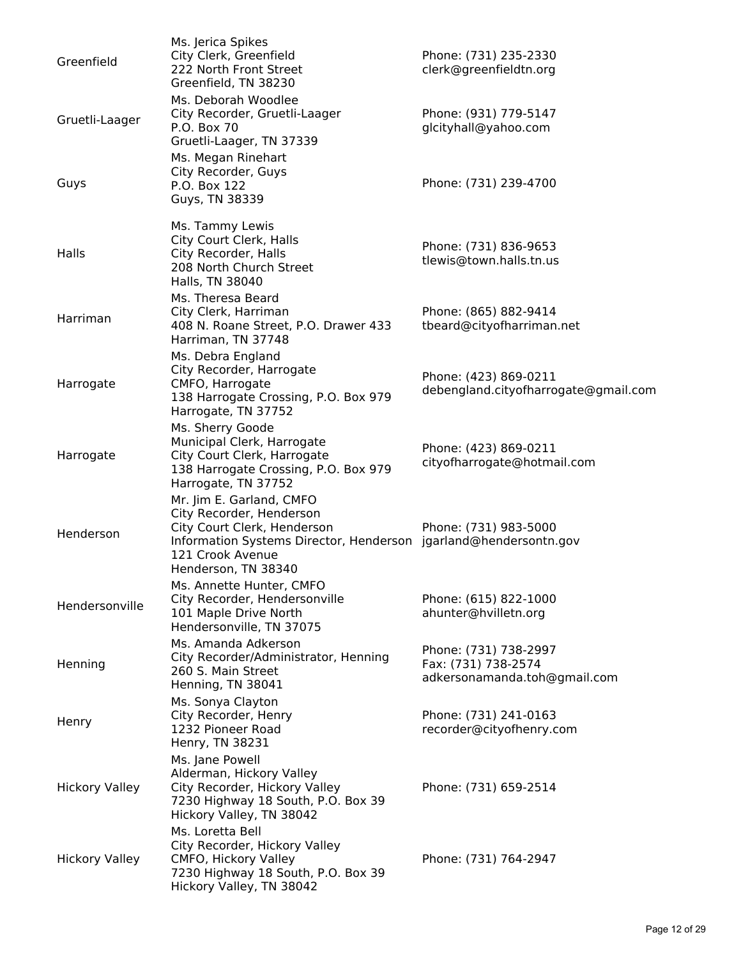| Greenfield            | Ms. Jerica Spikes<br>City Clerk, Greenfield<br>222 North Front Street<br>Greenfield, TN 38230                                                                                                      | Phone: (731) 235-2330<br>clerk@greenfieldtn.org                              |
|-----------------------|----------------------------------------------------------------------------------------------------------------------------------------------------------------------------------------------------|------------------------------------------------------------------------------|
| Gruetli-Laager        | Ms. Deborah Woodlee<br>City Recorder, Gruetli-Laager<br>P.O. Box 70<br>Gruetli-Laager, TN 37339                                                                                                    | Phone: (931) 779-5147<br>glcityhall@yahoo.com                                |
| Guys                  | Ms. Megan Rinehart<br>City Recorder, Guys<br>P.O. Box 122<br>Guys, TN 38339                                                                                                                        | Phone: (731) 239-4700                                                        |
| Halls                 | Ms. Tammy Lewis<br>City Court Clerk, Halls<br>City Recorder, Halls<br>208 North Church Street<br>Halls, TN 38040                                                                                   | Phone: (731) 836-9653<br>tlewis@town.halls.tn.us                             |
| Harriman              | Ms. Theresa Beard<br>City Clerk, Harriman<br>408 N. Roane Street, P.O. Drawer 433<br>Harriman, TN 37748                                                                                            | Phone: (865) 882-9414<br>tbeard@cityofharriman.net                           |
| Harrogate             | Ms. Debra England<br>City Recorder, Harrogate<br>CMFO, Harrogate<br>138 Harrogate Crossing, P.O. Box 979<br>Harrogate, TN 37752                                                                    | Phone: (423) 869-0211<br>debengland.cityofharrogate@gmail.com                |
| Harrogate             | Ms. Sherry Goode<br>Municipal Clerk, Harrogate<br>City Court Clerk, Harrogate<br>138 Harrogate Crossing, P.O. Box 979<br>Harrogate, TN 37752                                                       | Phone: (423) 869-0211<br>cityofharrogate@hotmail.com                         |
| Henderson             | Mr. Jim E. Garland, CMFO<br>City Recorder, Henderson<br>City Court Clerk, Henderson<br>Information Systems Director, Henderson jgarland@hendersontn.gov<br>121 Crook Avenue<br>Henderson, TN 38340 | Phone: (731) 983-5000                                                        |
| Hendersonville        | Ms. Annette Hunter, CMFO<br>City Recorder, Hendersonville<br>101 Maple Drive North<br>Hendersonville, TN 37075                                                                                     | Phone: (615) 822-1000<br>ahunter@hvilletn.org                                |
| Henning               | Ms. Amanda Adkerson<br>City Recorder/Administrator, Henning<br>260 S. Main Street<br>Henning, TN 38041                                                                                             | Phone: (731) 738-2997<br>Fax: (731) 738-2574<br>adkersonamanda.toh@gmail.com |
| Henry                 | Ms. Sonya Clayton<br>City Recorder, Henry<br>1232 Pioneer Road<br>Henry, TN 38231                                                                                                                  | Phone: (731) 241-0163<br>recorder@cityofhenry.com                            |
| <b>Hickory Valley</b> | Ms. Jane Powell<br>Alderman, Hickory Valley<br>City Recorder, Hickory Valley<br>7230 Highway 18 South, P.O. Box 39<br>Hickory Valley, TN 38042                                                     | Phone: (731) 659-2514                                                        |
| <b>Hickory Valley</b> | Ms. Loretta Bell<br>City Recorder, Hickory Valley<br>CMFO, Hickory Valley<br>7230 Highway 18 South, P.O. Box 39<br>Hickory Valley, TN 38042                                                        | Phone: (731) 764-2947                                                        |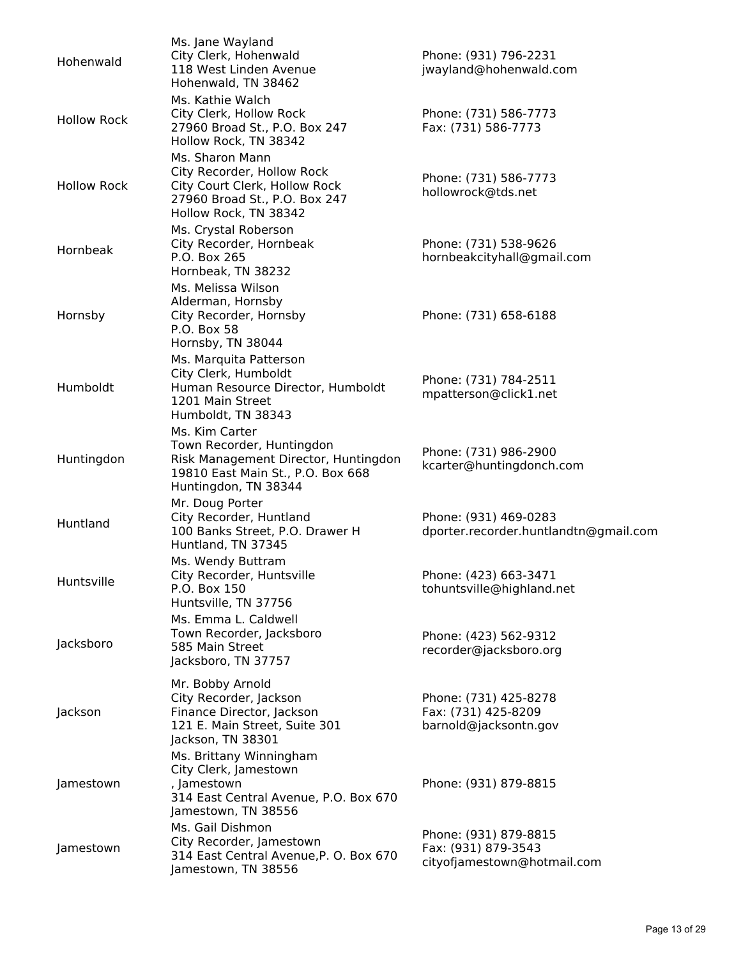| Hohenwald          | Ms. Jane Wayland<br>City Clerk, Hohenwald<br>118 West Linden Avenue<br>Hohenwald, TN 38462                                                       | Phone: (931) 796-2231<br>jwayland@hohenwald.com                             |
|--------------------|--------------------------------------------------------------------------------------------------------------------------------------------------|-----------------------------------------------------------------------------|
| <b>Hollow Rock</b> | Ms. Kathie Walch<br>City Clerk, Hollow Rock<br>27960 Broad St., P.O. Box 247<br>Hollow Rock, TN 38342                                            | Phone: (731) 586-7773<br>Fax: (731) 586-7773                                |
| <b>Hollow Rock</b> | Ms. Sharon Mann<br>City Recorder, Hollow Rock<br>City Court Clerk, Hollow Rock<br>27960 Broad St., P.O. Box 247<br>Hollow Rock, TN 38342         | Phone: (731) 586-7773<br>hollowrock@tds.net                                 |
| Hornbeak           | Ms. Crystal Roberson<br>City Recorder, Hornbeak<br>P.O. Box 265<br>Hornbeak, TN 38232                                                            | Phone: (731) 538-9626<br>hornbeakcityhall@gmail.com                         |
| Hornsby            | Ms. Melissa Wilson<br>Alderman, Hornsby<br>City Recorder, Hornsby<br>P.O. Box 58<br>Hornsby, TN 38044                                            | Phone: (731) 658-6188                                                       |
| Humboldt           | Ms. Marquita Patterson<br>City Clerk, Humboldt<br>Human Resource Director, Humboldt<br>1201 Main Street<br>Humboldt, TN 38343                    | Phone: (731) 784-2511<br>mpatterson@click1.net                              |
| Huntingdon         | Ms. Kim Carter<br>Town Recorder, Huntingdon<br>Risk Management Director, Huntingdon<br>19810 East Main St., P.O. Box 668<br>Huntingdon, TN 38344 | Phone: (731) 986-2900<br>kcarter@huntingdonch.com                           |
| Huntland           | Mr. Doug Porter<br>City Recorder, Huntland<br>100 Banks Street, P.O. Drawer H<br>Huntland, TN 37345                                              | Phone: (931) 469-0283<br>dporter.recorder.huntlandtn@gmail.com              |
| Huntsville         | Ms. Wendy Buttram<br>City Recorder, Huntsville<br>P.O. Box 150<br>Huntsville, TN 37756                                                           | Phone: (423) 663-3471<br>tohuntsville@highland.net                          |
| Jacksboro          | Ms. Emma L. Caldwell<br>Town Recorder, Jacksboro<br>585 Main Street<br>Jacksboro, TN 37757                                                       | Phone: (423) 562-9312<br>recorder@jacksboro.org                             |
| Jackson            | Mr. Bobby Arnold<br>City Recorder, Jackson<br>Finance Director, Jackson<br>121 E. Main Street, Suite 301<br>Jackson, TN 38301                    | Phone: (731) 425-8278<br>Fax: (731) 425-8209<br>barnold@jacksontn.gov       |
| Jamestown          | Ms. Brittany Winningham<br>City Clerk, Jamestown<br>, Jamestown<br>314 East Central Avenue, P.O. Box 670<br>Jamestown, TN 38556                  | Phone: (931) 879-8815                                                       |
| Jamestown          | Ms. Gail Dishmon<br>City Recorder, Jamestown<br>314 East Central Avenue, P. O. Box 670<br>Jamestown, TN 38556                                    | Phone: (931) 879-8815<br>Fax: (931) 879-3543<br>cityofjamestown@hotmail.com |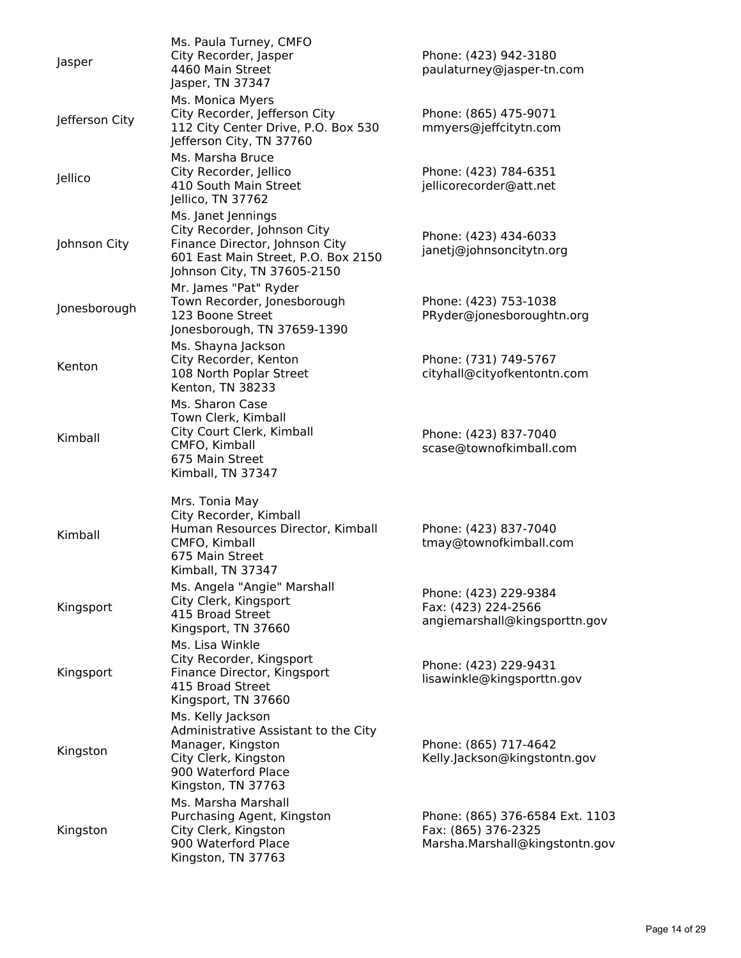| Jasper         | Ms. Paula Turney, CMFO<br>City Recorder, Jasper<br>4460 Main Street<br>Jasper, TN 37347                                                                   | Phone: (423) 942-3180<br>paulaturney@jasper-tn.com                                       |
|----------------|-----------------------------------------------------------------------------------------------------------------------------------------------------------|------------------------------------------------------------------------------------------|
| Jefferson City | Ms. Monica Myers<br>City Recorder, Jefferson City<br>112 City Center Drive, P.O. Box 530<br>Jefferson City, TN 37760                                      | Phone: (865) 475-9071<br>mmyers@jeffcitytn.com                                           |
| Jellico        | Ms. Marsha Bruce<br>City Recorder, Jellico<br>410 South Main Street<br>Jellico, TN 37762                                                                  | Phone: (423) 784-6351<br>jellicorecorder@att.net                                         |
| Johnson City   | Ms. Janet Jennings<br>City Recorder, Johnson City<br>Finance Director, Johnson City<br>601 East Main Street, P.O. Box 2150<br>Johnson City, TN 37605-2150 | Phone: (423) 434-6033<br>janetj@johnsoncitytn.org                                        |
| Jonesborough   | Mr. James "Pat" Ryder<br>Town Recorder, Jonesborough<br>123 Boone Street<br>Jonesborough, TN 37659-1390                                                   | Phone: (423) 753-1038<br>PRyder@jonesboroughtn.org                                       |
| Kenton         | Ms. Shayna Jackson<br>City Recorder, Kenton<br>108 North Poplar Street<br>Kenton, TN 38233                                                                | Phone: (731) 749-5767<br>cityhall@cityofkentontn.com                                     |
| Kimball        | Ms. Sharon Case<br>Town Clerk, Kimball<br>City Court Clerk, Kimball<br>CMFO, Kimball<br>675 Main Street<br>Kimball, TN 37347                              | Phone: (423) 837-7040<br>scase@townofkimball.com                                         |
| Kimball        | Mrs. Tonia May<br>City Recorder, Kimball<br>Human Resources Director, Kimball<br>CMFO, Kimball<br>675 Main Street<br>Kimball, TN 37347                    | Phone: (423) 837-7040<br>tmay@townofkimball.com                                          |
| Kingsport      | Ms. Angela "Angie" Marshall<br>City Clerk, Kingsport<br>415 Broad Street<br>Kingsport, TN 37660                                                           | Phone: (423) 229-9384<br>Fax: (423) 224-2566<br>angiemarshall@kingsporttn.gov            |
| Kingsport      | Ms. Lisa Winkle<br>City Recorder, Kingsport<br>Finance Director, Kingsport<br>415 Broad Street<br>Kingsport, TN 37660                                     | Phone: (423) 229-9431<br>lisawinkle@kingsporttn.gov                                      |
| Kingston       | Ms. Kelly Jackson<br>Administrative Assistant to the City<br>Manager, Kingston<br>City Clerk, Kingston<br>900 Waterford Place<br>Kingston, TN 37763       | Phone: (865) 717-4642<br>Kelly.Jackson@kingstontn.gov                                    |
| Kingston       | Ms. Marsha Marshall<br>Purchasing Agent, Kingston<br>City Clerk, Kingston<br>900 Waterford Place<br>Kingston, TN 37763                                    | Phone: (865) 376-6584 Ext. 1103<br>Fax: (865) 376-2325<br>Marsha.Marshall@kingstontn.gov |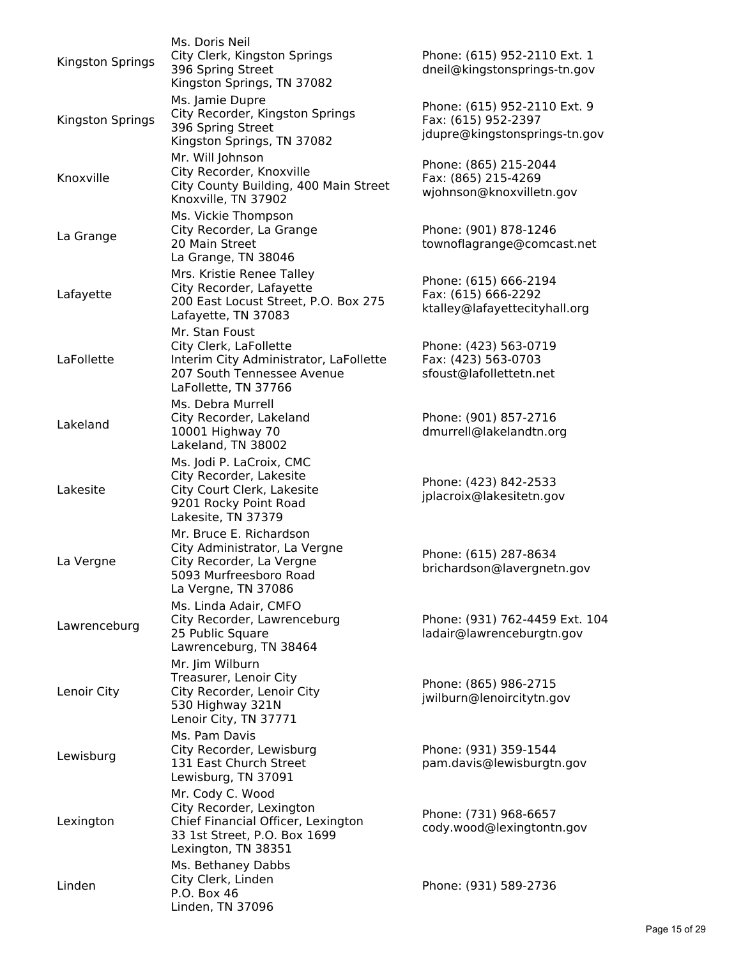| Kingston Springs | Ms. Doris Neil<br>City Clerk, Kingston Springs<br>396 Spring Street<br>Kingston Springs, TN 37082                                         | Phone: (615) 952-2110 Ext. 1<br>dneil@kingstonsprings-tn.gov                         |
|------------------|-------------------------------------------------------------------------------------------------------------------------------------------|--------------------------------------------------------------------------------------|
| Kingston Springs | Ms. Jamie Dupre<br>City Recorder, Kingston Springs<br>396 Spring Street<br>Kingston Springs, TN 37082                                     | Phone: (615) 952-2110 Ext. 9<br>Fax: (615) 952-2397<br>jdupre@kingstonsprings-tn.gov |
| Knoxville        | Mr. Will Johnson<br>City Recorder, Knoxville<br>City County Building, 400 Main Street<br>Knoxville, TN 37902                              | Phone: (865) 215-2044<br>Fax: (865) 215-4269<br>wjohnson@knoxvilletn.gov             |
| La Grange        | Ms. Vickie Thompson<br>City Recorder, La Grange<br>20 Main Street<br>La Grange, TN 38046                                                  | Phone: (901) 878-1246<br>townoflagrange@comcast.net                                  |
| Lafayette        | Mrs. Kristie Renee Talley<br>City Recorder, Lafayette<br>200 East Locust Street, P.O. Box 275<br>Lafayette, TN 37083                      | Phone: (615) 666-2194<br>Fax: (615) 666-2292<br>ktalley@lafayettecityhall.org        |
| LaFollette       | Mr. Stan Foust<br>City Clerk, LaFollette<br>Interim City Administrator, LaFollette<br>207 South Tennessee Avenue<br>LaFollette, TN 37766  | Phone: (423) 563-0719<br>Fax: (423) 563-0703<br>sfoust@lafollettetn.net              |
| Lakeland         | Ms. Debra Murrell<br>City Recorder, Lakeland<br>10001 Highway 70<br>Lakeland, TN 38002                                                    | Phone: (901) 857-2716<br>dmurrell@lakelandtn.org                                     |
| Lakesite         | Ms. Jodi P. LaCroix, CMC<br>City Recorder, Lakesite<br>City Court Clerk, Lakesite<br>9201 Rocky Point Road<br>Lakesite, TN 37379          | Phone: (423) 842-2533<br>jplacroix@lakesitetn.gov                                    |
| La Vergne        | Mr. Bruce E. Richardson<br>City Administrator, La Vergne<br>City Recorder, La Vergne<br>5093 Murfreesboro Road<br>La Vergne, TN 37086     | Phone: (615) 287-8634<br>brichardson@lavergnetn.gov                                  |
| Lawrenceburg     | Ms. Linda Adair, CMFO<br>City Recorder, Lawrenceburg<br>25 Public Square<br>Lawrenceburg, TN 38464                                        | Phone: (931) 762-4459 Ext. 104<br>ladair@lawrenceburgtn.gov                          |
| Lenoir City      | Mr. Jim Wilburn<br>Treasurer, Lenoir City<br>City Recorder, Lenoir City<br>530 Highway 321N<br>Lenoir City, TN 37771                      | Phone: (865) 986-2715<br>jwilburn@lenoircitytn.gov                                   |
| Lewisburg        | Ms. Pam Davis<br>City Recorder, Lewisburg<br>131 East Church Street<br>Lewisburg, TN 37091                                                | Phone: (931) 359-1544<br>pam.davis@lewisburgtn.gov                                   |
| Lexington        | Mr. Cody C. Wood<br>City Recorder, Lexington<br>Chief Financial Officer, Lexington<br>33 1st Street, P.O. Box 1699<br>Lexington, TN 38351 | Phone: (731) 968-6657<br>cody.wood@lexingtontn.gov                                   |
| Linden           | Ms. Bethaney Dabbs<br>City Clerk, Linden<br>P.O. Box 46<br>Linden, TN 37096                                                               | Phone: (931) 589-2736                                                                |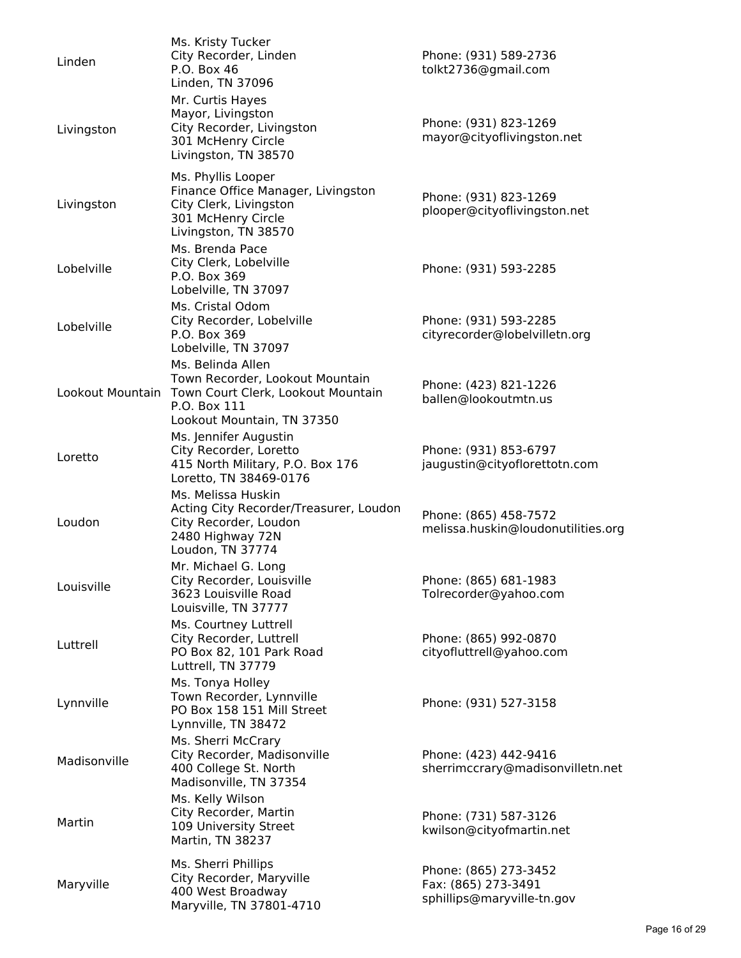| Linden           | Ms. Kristy Tucker<br>City Recorder, Linden<br>P.O. Box 46<br>Linden, TN 37096                                                            | Phone: (931) 589-2736<br>tolkt2736@gmail.com                               |
|------------------|------------------------------------------------------------------------------------------------------------------------------------------|----------------------------------------------------------------------------|
| Livingston       | Mr. Curtis Hayes<br>Mayor, Livingston<br>City Recorder, Livingston<br>301 McHenry Circle<br>Livingston, TN 38570                         | Phone: (931) 823-1269<br>mayor@cityoflivingston.net                        |
| Livingston       | Ms. Phyllis Looper<br>Finance Office Manager, Livingston<br>City Clerk, Livingston<br>301 McHenry Circle<br>Livingston, TN 38570         | Phone: (931) 823-1269<br>plooper@cityoflivingston.net                      |
| Lobelville       | Ms. Brenda Pace<br>City Clerk, Lobelville<br>P.O. Box 369<br>Lobelville, TN 37097                                                        | Phone: (931) 593-2285                                                      |
| Lobelville       | Ms. Cristal Odom<br>City Recorder, Lobelville<br>P.O. Box 369<br>Lobelville, TN 37097                                                    | Phone: (931) 593-2285<br>cityrecorder@lobelvilletn.org                     |
| Lookout Mountain | Ms. Belinda Allen<br>Town Recorder, Lookout Mountain<br>Town Court Clerk, Lookout Mountain<br>P.O. Box 111<br>Lookout Mountain, TN 37350 | Phone: (423) 821-1226<br>ballen@lookoutmtn.us                              |
| Loretto          | Ms. Jennifer Augustin<br>City Recorder, Loretto<br>415 North Military, P.O. Box 176<br>Loretto, TN 38469-0176                            | Phone: (931) 853-6797<br>jaugustin@cityoflorettotn.com                     |
| Loudon           | Ms. Melissa Huskin<br>Acting City Recorder/Treasurer, Loudon<br>City Recorder, Loudon<br>2480 Highway 72N<br>Loudon, TN 37774            | Phone: (865) 458-7572<br>melissa.huskin@loudonutilities.org                |
| Louisville       | Mr. Michael G. Long<br>City Recorder, Louisville<br>3623 Louisville Road<br>Louisville, TN 37777                                         | Phone: (865) 681-1983<br>Tolrecorder@yahoo.com                             |
| Luttrell         | Ms. Courtney Luttrell<br>City Recorder, Luttrell<br>PO Box 82, 101 Park Road<br>Luttrell, TN 37779                                       | Phone: (865) 992-0870<br>cityofluttrell@yahoo.com                          |
| Lynnville        | Ms. Tonya Holley<br>Town Recorder, Lynnville<br>PO Box 158 151 Mill Street<br>Lynnville, TN 38472                                        | Phone: (931) 527-3158                                                      |
| Madisonville     | Ms. Sherri McCrary<br>City Recorder, Madisonville<br>400 College St. North<br>Madisonville, TN 37354                                     | Phone: (423) 442-9416<br>sherrimccrary@madisonvilletn.net                  |
| Martin           | Ms. Kelly Wilson<br>City Recorder, Martin<br>109 University Street<br>Martin, TN 38237                                                   | Phone: (731) 587-3126<br>kwilson@cityofmartin.net                          |
| Maryville        | Ms. Sherri Phillips<br>City Recorder, Maryville<br>400 West Broadway<br>Maryville, TN 37801-4710                                         | Phone: (865) 273-3452<br>Fax: (865) 273-3491<br>sphillips@maryville-tn.gov |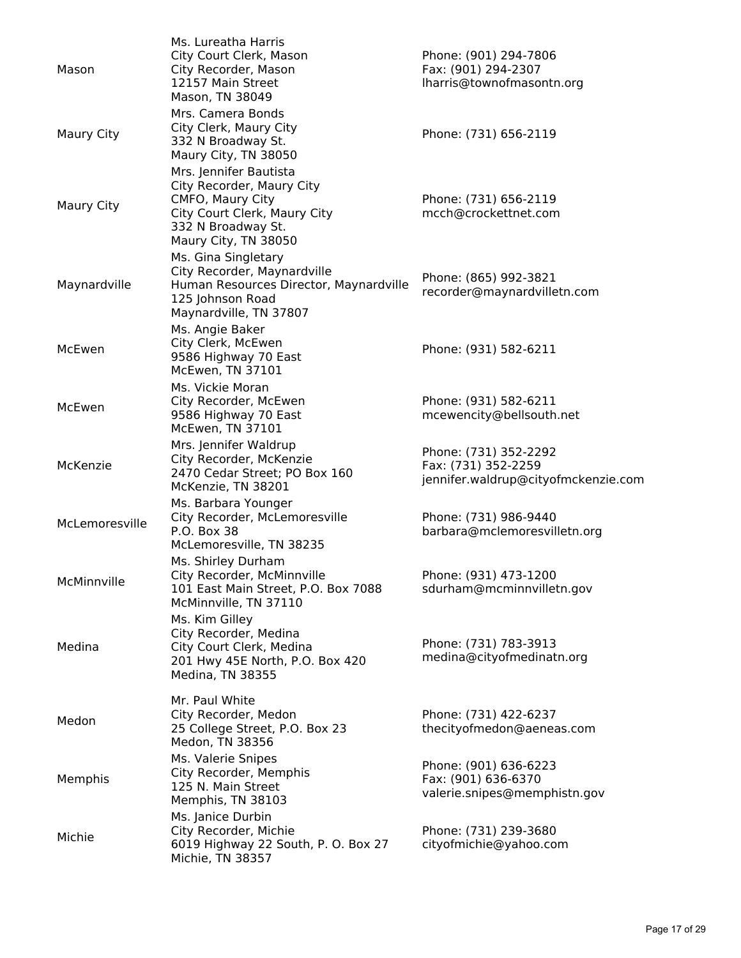| Mason          | Ms. Lureatha Harris<br>City Court Clerk, Mason<br>City Recorder, Mason<br>12157 Main Street<br>Mason, TN 38049                                        | Phone: (901) 294-7806<br>Fax: (901) 294-2307<br>lharris@townofmasontn.org           |
|----------------|-------------------------------------------------------------------------------------------------------------------------------------------------------|-------------------------------------------------------------------------------------|
| Maury City     | Mrs. Camera Bonds<br>City Clerk, Maury City<br>332 N Broadway St.<br>Maury City, TN 38050                                                             | Phone: (731) 656-2119                                                               |
| Maury City     | Mrs. Jennifer Bautista<br>City Recorder, Maury City<br>CMFO, Maury City<br>City Court Clerk, Maury City<br>332 N Broadway St.<br>Maury City, TN 38050 | Phone: (731) 656-2119<br>mcch@crockettnet.com                                       |
| Maynardville   | Ms. Gina Singletary<br>City Recorder, Maynardville<br>Human Resources Director, Maynardville<br>125 Johnson Road<br>Maynardville, TN 37807            | Phone: (865) 992-3821<br>recorder@maynardvilletn.com                                |
| McEwen         | Ms. Angie Baker<br>City Clerk, McEwen<br>9586 Highway 70 East<br>McEwen, TN 37101                                                                     | Phone: (931) 582-6211                                                               |
| McEwen         | Ms. Vickie Moran<br>City Recorder, McEwen<br>9586 Highway 70 East<br>McEwen, TN 37101                                                                 | Phone: (931) 582-6211<br>mcewencity@bellsouth.net                                   |
| McKenzie       | Mrs. Jennifer Waldrup<br>City Recorder, McKenzie<br>2470 Cedar Street; PO Box 160<br>McKenzie, TN 38201                                               | Phone: (731) 352-2292<br>Fax: (731) 352-2259<br>jennifer.waldrup@cityofmckenzie.com |
| McLemoresville | Ms. Barbara Younger<br>City Recorder, McLemoresville<br>P.O. Box 38<br>McLemoresville, TN 38235                                                       | Phone: (731) 986-9440<br>barbara@mclemoresvilletn.org                               |
| McMinnville    | Ms. Shirley Durham<br>City Recorder, McMinnville<br>101 East Main Street, P.O. Box 7088<br>McMinnville, TN 37110                                      | Phone: (931) 473-1200<br>sdurham@mcminnvilletn.gov                                  |
| Medina         | Ms. Kim Gilley<br>City Recorder, Medina<br>City Court Clerk, Medina<br>201 Hwy 45E North, P.O. Box 420<br>Medina, TN 38355                            | Phone: (731) 783-3913<br>medina@cityofmedinatn.org                                  |
| Medon          | Mr. Paul White<br>City Recorder, Medon<br>25 College Street, P.O. Box 23<br>Medon, TN 38356                                                           | Phone: (731) 422-6237<br>thecityofmedon@aeneas.com                                  |
| Memphis        | Ms. Valerie Snipes<br>City Recorder, Memphis<br>125 N. Main Street<br>Memphis, TN 38103                                                               | Phone: (901) 636-6223<br>Fax: (901) 636-6370<br>valerie.snipes@memphistn.gov        |
| Michie         | Ms. Janice Durbin<br>City Recorder, Michie<br>6019 Highway 22 South, P. O. Box 27<br>Michie, TN 38357                                                 | Phone: (731) 239-3680<br>cityofmichie@yahoo.com                                     |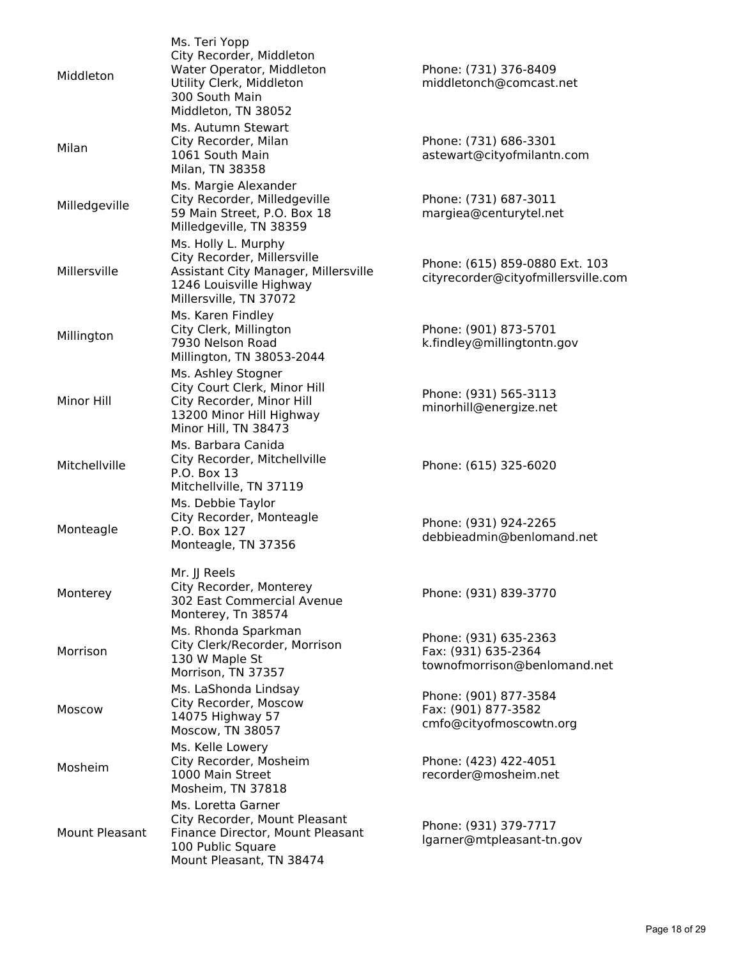| Middleton             | Ms. Teri Yopp<br>City Recorder, Middleton<br>Water Operator, Middleton<br>Utility Clerk, Middleton<br>300 South Main<br>Middleton, TN 38052     | Phone: (731) 376-8409<br>middletonch@comcast.net                             |
|-----------------------|-------------------------------------------------------------------------------------------------------------------------------------------------|------------------------------------------------------------------------------|
| Milan                 | Ms. Autumn Stewart<br>City Recorder, Milan<br>1061 South Main<br>Milan, TN 38358                                                                | Phone: (731) 686-3301<br>astewart@cityofmilantn.com                          |
| Milledgeville         | Ms. Margie Alexander<br>City Recorder, Milledgeville<br>59 Main Street, P.O. Box 18<br>Milledgeville, TN 38359                                  | Phone: (731) 687-3011<br>margiea@centurytel.net                              |
| Millersville          | Ms. Holly L. Murphy<br>City Recorder, Millersville<br>Assistant City Manager, Millersville<br>1246 Louisville Highway<br>Millersville, TN 37072 | Phone: (615) 859-0880 Ext. 103<br>cityrecorder@cityofmillersville.com        |
| Millington            | Ms. Karen Findley<br>City Clerk, Millington<br>7930 Nelson Road<br>Millington, TN 38053-2044                                                    | Phone: (901) 873-5701<br>k.findley@millingtontn.gov                          |
| Minor Hill            | Ms. Ashley Stogner<br>City Court Clerk, Minor Hill<br>City Recorder, Minor Hill<br>13200 Minor Hill Highway<br>Minor Hill, TN 38473             | Phone: (931) 565-3113<br>minorhill@energize.net                              |
| Mitchellville         | Ms. Barbara Canida<br>City Recorder, Mitchellville<br>P.O. Box 13<br>Mitchellville, TN 37119                                                    | Phone: (615) 325-6020                                                        |
| Monteagle             | Ms. Debbie Taylor<br>City Recorder, Monteagle<br>P.O. Box 127<br>Monteagle, TN 37356                                                            | Phone: (931) 924-2265<br>debbieadmin@benlomand.net                           |
| Monterey              | Mr. JJ Reels<br>City Recorder, Monterey<br>302 East Commercial Avenue<br>Monterey, Tn 38574                                                     | Phone: (931) 839-3770                                                        |
| Morrison              | Ms. Rhonda Sparkman<br>City Clerk/Recorder, Morrison<br>130 W Maple St<br>Morrison, TN 37357                                                    | Phone: (931) 635-2363<br>Fax: (931) 635-2364<br>townofmorrison@benlomand.net |
| Moscow                | Ms. LaShonda Lindsay<br>City Recorder, Moscow<br>14075 Highway 57<br>Moscow, TN 38057                                                           | Phone: (901) 877-3584<br>Fax: (901) 877-3582<br>cmfo@cityofmoscowtn.org      |
| Mosheim               | Ms. Kelle Lowery<br>City Recorder, Mosheim<br>1000 Main Street<br>Mosheim, TN 37818                                                             | Phone: (423) 422-4051<br>recorder@mosheim.net                                |
| <b>Mount Pleasant</b> | Ms. Loretta Garner<br>City Recorder, Mount Pleasant<br>Finance Director, Mount Pleasant<br>100 Public Square<br>Mount Pleasant, TN 38474        | Phone: (931) 379-7717<br>lgarner@mtpleasant-tn.gov                           |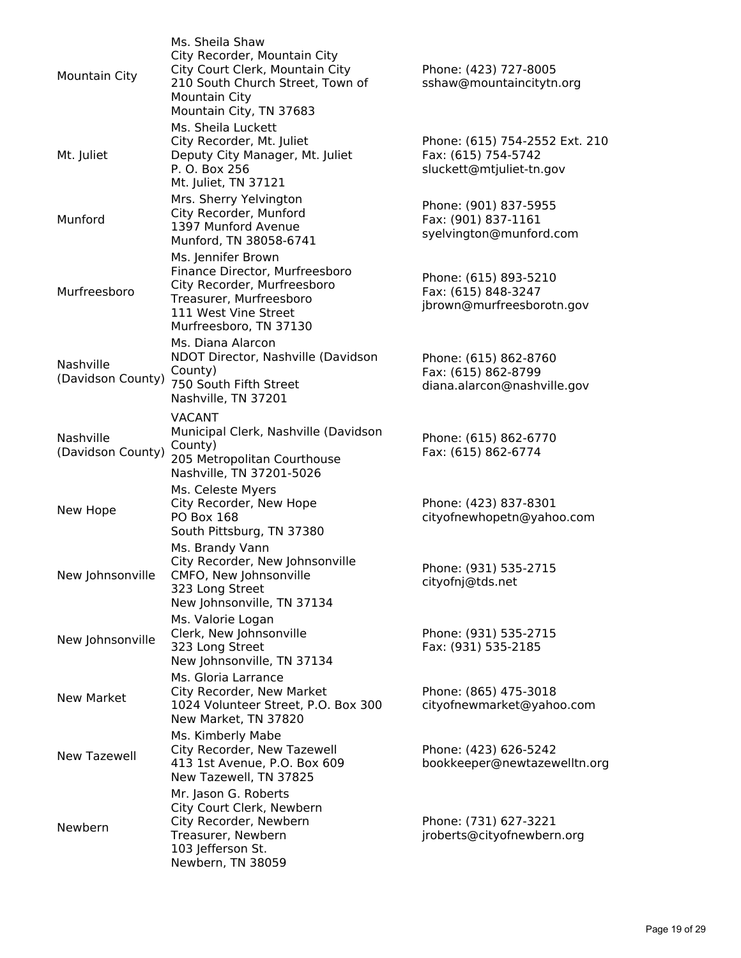| Mountain City                  | Ms. Sheila Shaw<br>City Recorder, Mountain City<br>City Court Clerk, Mountain City<br>210 South Church Street, Town of<br>Mountain City<br>Mountain City, TN 37683 | Phone: (423) 727-8005<br>sshaw@mountaincitytn.org                                 |
|--------------------------------|--------------------------------------------------------------------------------------------------------------------------------------------------------------------|-----------------------------------------------------------------------------------|
| Mt. Juliet                     | Ms. Sheila Luckett<br>City Recorder, Mt. Juliet<br>Deputy City Manager, Mt. Juliet<br>P. O. Box 256<br>Mt. Juliet, TN 37121                                        | Phone: (615) 754-2552 Ext. 210<br>Fax: (615) 754-5742<br>sluckett@mtjuliet-tn.gov |
| Munford                        | Mrs. Sherry Yelvington<br>City Recorder, Munford<br>1397 Munford Avenue<br>Munford, TN 38058-6741                                                                  | Phone: (901) 837-5955<br>Fax: (901) 837-1161<br>syelvington@munford.com           |
| Murfreesboro                   | Ms. Jennifer Brown<br>Finance Director, Murfreesboro<br>City Recorder, Murfreesboro<br>Treasurer, Murfreesboro<br>111 West Vine Street<br>Murfreesboro, TN 37130   | Phone: (615) 893-5210<br>Fax: (615) 848-3247<br>jbrown@murfreesborotn.gov         |
| Nashville<br>(Davidson County) | Ms. Diana Alarcon<br>NDOT Director, Nashville (Davidson<br>County)<br>750 South Fifth Street<br>Nashville, TN 37201                                                | Phone: (615) 862-8760<br>Fax: (615) 862-8799<br>diana.alarcon@nashville.gov       |
| Nashville<br>(Davidson County) | <b>VACANT</b><br>Municipal Clerk, Nashville (Davidson<br>County)<br>205 Metropolitan Courthouse<br>Nashville, TN 37201-5026                                        | Phone: (615) 862-6770<br>Fax: (615) 862-6774                                      |
| New Hope                       | Ms. Celeste Myers<br>City Recorder, New Hope<br><b>PO Box 168</b><br>South Pittsburg, TN 37380                                                                     | Phone: (423) 837-8301<br>cityofnewhopetn@yahoo.com                                |
| New Johnsonville               | Ms. Brandy Vann<br>City Recorder, New Johnsonville<br>CMFO, New Johnsonville<br>323 Long Street<br>New Johnsonville, TN 37134                                      | Phone: (931) 535-2715<br>cityofnj@tds.net                                         |
| New Johnsonville               | Ms. Valorie Logan<br>Clerk, New Johnsonville<br>323 Long Street<br>New Johnsonville, TN 37134                                                                      | Phone: (931) 535-2715<br>Fax: (931) 535-2185                                      |
| <b>New Market</b>              | Ms. Gloria Larrance<br>City Recorder, New Market<br>1024 Volunteer Street, P.O. Box 300<br>New Market, TN 37820                                                    | Phone: (865) 475-3018<br>cityofnewmarket@yahoo.com                                |
| <b>New Tazewell</b>            | Ms. Kimberly Mabe<br>City Recorder, New Tazewell<br>413 1st Avenue, P.O. Box 609<br>New Tazewell, TN 37825                                                         | Phone: (423) 626-5242<br>bookkeeper@newtazewelltn.org                             |
| Newbern                        | Mr. Jason G. Roberts<br>City Court Clerk, Newbern<br>City Recorder, Newbern<br>Treasurer, Newbern<br>103 Jefferson St.<br>Newbern, TN 38059                        | Phone: (731) 627-3221<br>jroberts@cityofnewbern.org                               |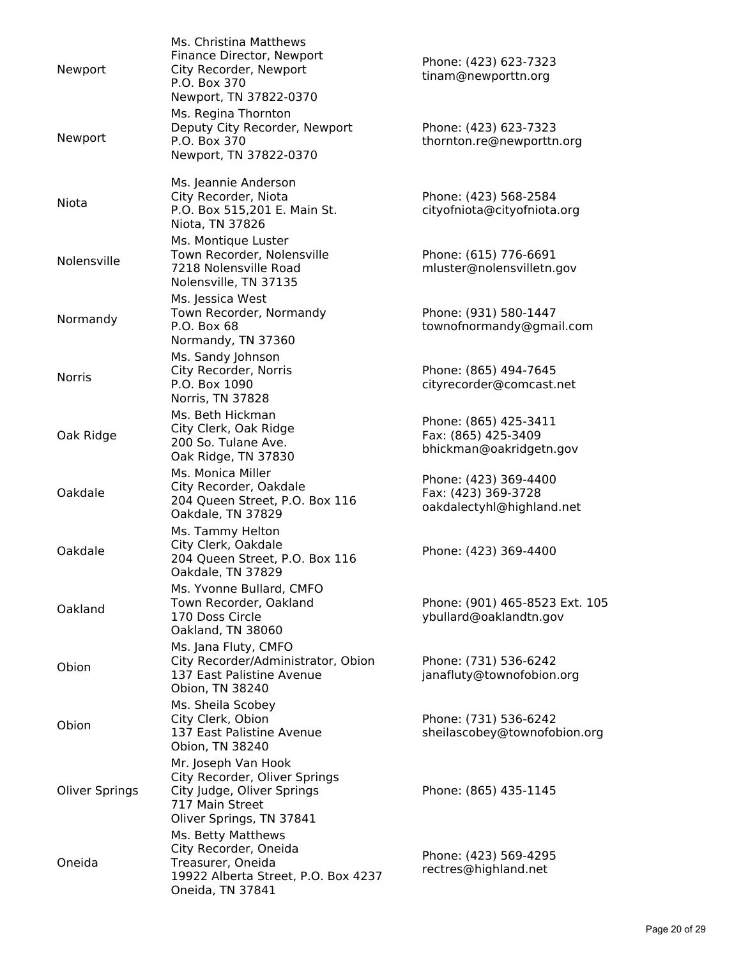| Newport               | Ms. Christina Matthews<br>Finance Director, Newport<br>City Recorder, Newport<br>P.O. Box 370<br>Newport, TN 37822-0370           | Phone: (423) 623-7323<br>tinam@newporttn.org                              |
|-----------------------|-----------------------------------------------------------------------------------------------------------------------------------|---------------------------------------------------------------------------|
| Newport               | Ms. Regina Thornton<br>Deputy City Recorder, Newport<br>P.O. Box 370<br>Newport, TN 37822-0370                                    | Phone: (423) 623-7323<br>thornton.re@newporttn.org                        |
| Niota                 | Ms. Jeannie Anderson<br>City Recorder, Niota<br>P.O. Box 515,201 E. Main St.<br>Niota, TN 37826                                   | Phone: (423) 568-2584<br>cityofniota@cityofniota.org                      |
| Nolensville           | Ms. Montique Luster<br>Town Recorder, Nolensville<br>7218 Nolensville Road<br>Nolensville, TN 37135                               | Phone: (615) 776-6691<br>mluster@nolensvilletn.gov                        |
| Normandy              | Ms. Jessica West<br>Town Recorder, Normandy<br>P.O. Box 68<br>Normandy, TN 37360                                                  | Phone: (931) 580-1447<br>townofnormandy@gmail.com                         |
| <b>Norris</b>         | Ms. Sandy Johnson<br>City Recorder, Norris<br>P.O. Box 1090<br>Norris, TN 37828                                                   | Phone: (865) 494-7645<br>cityrecorder@comcast.net                         |
| Oak Ridge             | Ms. Beth Hickman<br>City Clerk, Oak Ridge<br>200 So. Tulane Ave.<br>Oak Ridge, TN 37830                                           | Phone: (865) 425-3411<br>Fax: (865) 425-3409<br>bhickman@oakridgetn.gov   |
| Oakdale               | Ms. Monica Miller<br>City Recorder, Oakdale<br>204 Queen Street, P.O. Box 116<br>Oakdale, TN 37829                                | Phone: (423) 369-4400<br>Fax: (423) 369-3728<br>oakdalectyhl@highland.net |
| Oakdale               | Ms. Tammy Helton<br>City Clerk, Oakdale<br>204 Queen Street, P.O. Box 116<br>Oakdale, TN 37829                                    | Phone: (423) 369-4400                                                     |
| Oakland               | Ms. Yvonne Bullard, CMFO<br>Town Recorder, Oakland<br>170 Doss Circle<br>Oakland, TN 38060                                        | Phone: (901) 465-8523 Ext. 105<br>ybullard@oaklandtn.gov                  |
| Obion                 | Ms. Jana Fluty, CMFO<br>City Recorder/Administrator, Obion<br>137 East Palistine Avenue<br>Obion, TN 38240                        | Phone: (731) 536-6242<br>janafluty@townofobion.org                        |
| Obion                 | Ms. Sheila Scobey<br>City Clerk, Obion<br>137 East Palistine Avenue<br>Obion, TN 38240                                            | Phone: (731) 536-6242<br>sheilascobey@townofobion.org                     |
| <b>Oliver Springs</b> | Mr. Joseph Van Hook<br>City Recorder, Oliver Springs<br>City Judge, Oliver Springs<br>717 Main Street<br>Oliver Springs, TN 37841 | Phone: (865) 435-1145                                                     |
| Oneida                | Ms. Betty Matthews<br>City Recorder, Oneida<br>Treasurer, Oneida<br>19922 Alberta Street, P.O. Box 4237<br>Oneida, TN 37841       | Phone: (423) 569-4295<br>rectres@highland.net                             |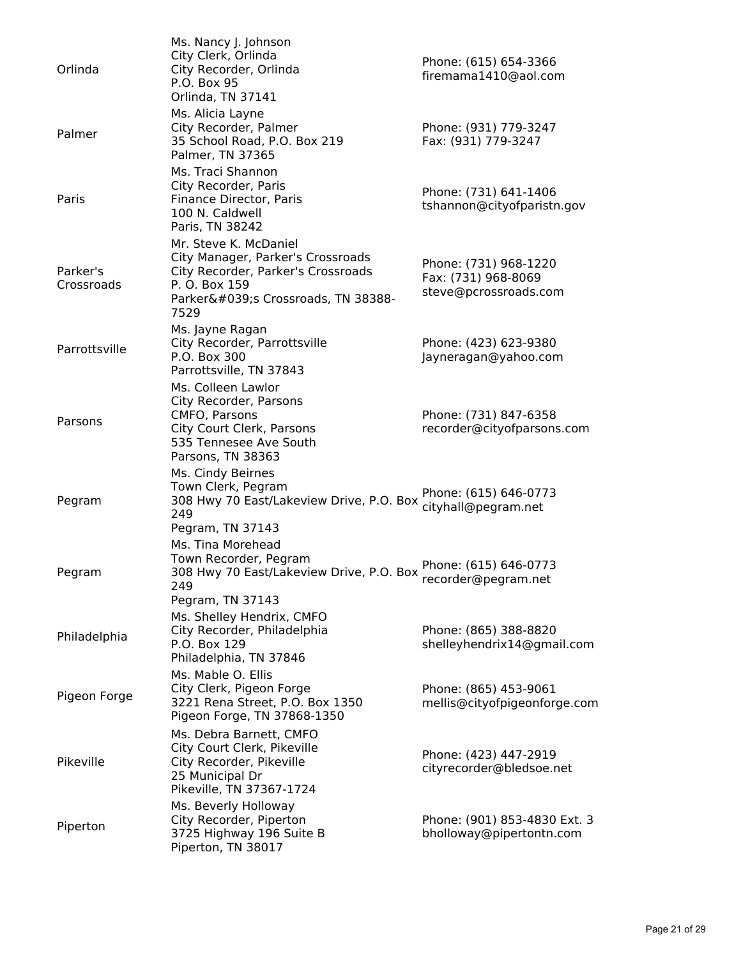| Orlinda                | Ms. Nancy J. Johnson<br>City Clerk, Orlinda<br>City Recorder, Orlinda<br>P.O. Box 95<br>Orlinda, TN 37141                                                   | Phone: (615) 654-3366<br>firemama1410@aol.com                         |
|------------------------|-------------------------------------------------------------------------------------------------------------------------------------------------------------|-----------------------------------------------------------------------|
| Palmer                 | Ms. Alicia Layne<br>City Recorder, Palmer<br>35 School Road, P.O. Box 219<br>Palmer, TN 37365                                                               | Phone: (931) 779-3247<br>Fax: (931) 779-3247                          |
| Paris                  | Ms. Traci Shannon<br>City Recorder, Paris<br>Finance Director, Paris<br>100 N. Caldwell<br>Paris, TN 38242                                                  | Phone: (731) 641-1406<br>tshannon@cityofparistn.gov                   |
| Parker's<br>Crossroads | Mr. Steve K. McDaniel<br>City Manager, Parker's Crossroads<br>City Recorder, Parker's Crossroads<br>P. O. Box 159<br>Parker's Crossroads, TN 38388-<br>7529 | Phone: (731) 968-1220<br>Fax: (731) 968-8069<br>steve@pcrossroads.com |
| Parrottsville          | Ms. Jayne Ragan<br>City Recorder, Parrottsville<br>P.O. Box 300<br>Parrottsville, TN 37843                                                                  | Phone: (423) 623-9380<br>Jayneragan@yahoo.com                         |
| Parsons                | Ms. Colleen Lawlor<br>City Recorder, Parsons<br>CMFO, Parsons<br>City Court Clerk, Parsons<br>535 Tennesee Ave South<br>Parsons, TN 38363                   | Phone: (731) 847-6358<br>recorder@cityofparsons.com                   |
| Pegram                 | Ms. Cindy Beirnes<br>Town Clerk, Pegram<br>308 Hwy 70 East/Lakeview Drive, P.O. Box<br>249<br>Pegram, TN 37143                                              | Phone: (615) 646-0773<br>cityhall@pegram.net                          |
| Pegram                 | Ms. Tina Morehead<br>Town Recorder, Pegram<br>308 Hwy 70 East/Lakeview Drive, P.O. Box<br>249<br>Pegram, TN 37143                                           | Phone: (615) 646-0773<br>recorder@pegram.net                          |
| Philadelphia           | Ms. Shelley Hendrix, CMFO<br>City Recorder, Philadelphia<br>P.O. Box 129<br>Philadelphia, TN 37846                                                          | Phone: (865) 388-8820<br>shelleyhendrix14@gmail.com                   |
| Pigeon Forge           | Ms. Mable O. Ellis<br>City Clerk, Pigeon Forge<br>3221 Rena Street, P.O. Box 1350<br>Pigeon Forge, TN 37868-1350                                            | Phone: (865) 453-9061<br>mellis@cityofpigeonforge.com                 |
| Pikeville              | Ms. Debra Barnett, CMFO<br>City Court Clerk, Pikeville<br>City Recorder, Pikeville<br>25 Municipal Dr<br>Pikeville, TN 37367-1724                           | Phone: (423) 447-2919<br>cityrecorder@bledsoe.net                     |
| Piperton               | Ms. Beverly Holloway<br>City Recorder, Piperton<br>3725 Highway 196 Suite B<br>Piperton, TN 38017                                                           | Phone: (901) 853-4830 Ext. 3<br>bholloway@pipertontn.com              |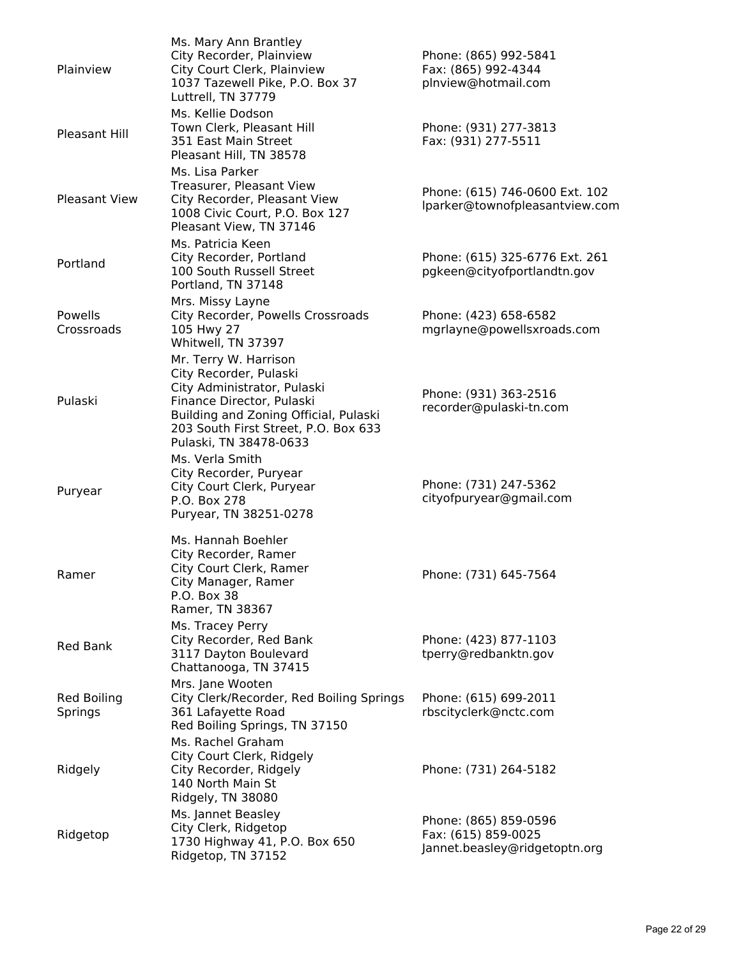| Plainview                     | Ms. Mary Ann Brantley<br>City Recorder, Plainview<br>City Court Clerk, Plainview<br>1037 Tazewell Pike, P.O. Box 37<br>Luttrell, TN 37779                                                                              | Phone: (865) 992-5841<br>Fax: (865) 992-4344<br>plnview@hotmail.com           |
|-------------------------------|------------------------------------------------------------------------------------------------------------------------------------------------------------------------------------------------------------------------|-------------------------------------------------------------------------------|
| Pleasant Hill                 | Ms. Kellie Dodson<br>Town Clerk, Pleasant Hill<br>351 East Main Street<br>Pleasant Hill, TN 38578                                                                                                                      | Phone: (931) 277-3813<br>Fax: (931) 277-5511                                  |
| <b>Pleasant View</b>          | Ms. Lisa Parker<br>Treasurer, Pleasant View<br>City Recorder, Pleasant View<br>1008 Civic Court, P.O. Box 127<br>Pleasant View, TN 37146                                                                               | Phone: (615) 746-0600 Ext. 102<br>lparker@townofpleasantview.com              |
| Portland                      | Ms. Patricia Keen<br>City Recorder, Portland<br>100 South Russell Street<br>Portland, TN 37148                                                                                                                         | Phone: (615) 325-6776 Ext. 261<br>pgkeen@cityofportlandtn.gov                 |
| Powells<br>Crossroads         | Mrs. Missy Layne<br>City Recorder, Powells Crossroads<br>105 Hwy 27<br>Whitwell, TN 37397                                                                                                                              | Phone: (423) 658-6582<br>mgrlayne@powellsxroads.com                           |
| Pulaski                       | Mr. Terry W. Harrison<br>City Recorder, Pulaski<br>City Administrator, Pulaski<br>Finance Director, Pulaski<br>Building and Zoning Official, Pulaski<br>203 South First Street, P.O. Box 633<br>Pulaski, TN 38478-0633 | Phone: (931) 363-2516<br>recorder@pulaski-tn.com                              |
| Puryear                       | Ms. Verla Smith<br>City Recorder, Puryear<br>City Court Clerk, Puryear<br>P.O. Box 278<br>Puryear, TN 38251-0278                                                                                                       | Phone: (731) 247-5362<br>cityofpuryear@gmail.com                              |
| Ramer                         | Ms. Hannah Boehler<br>City Recorder, Ramer<br>City Court Clerk, Ramer<br>City Manager, Ramer<br>P.O. Box 38<br>Ramer, TN 38367                                                                                         | Phone: (731) 645-7564                                                         |
| <b>Red Bank</b>               | Ms. Tracey Perry<br>City Recorder, Red Bank<br>3117 Dayton Boulevard<br>Chattanooga, TN 37415                                                                                                                          | Phone: (423) 877-1103<br>tperry@redbanktn.gov                                 |
| <b>Red Boiling</b><br>Springs | Mrs. Jane Wooten<br>City Clerk/Recorder, Red Boiling Springs<br>361 Lafayette Road<br>Red Boiling Springs, TN 37150                                                                                                    | Phone: (615) 699-2011<br>rbscityclerk@nctc.com                                |
| Ridgely                       | Ms. Rachel Graham<br>City Court Clerk, Ridgely<br>City Recorder, Ridgely<br>140 North Main St<br>Ridgely, TN 38080                                                                                                     | Phone: (731) 264-5182                                                         |
| Ridgetop                      | Ms. Jannet Beasley<br>City Clerk, Ridgetop<br>1730 Highway 41, P.O. Box 650<br>Ridgetop, TN 37152                                                                                                                      | Phone: (865) 859-0596<br>Fax: (615) 859-0025<br>Jannet.beasley@ridgetoptn.org |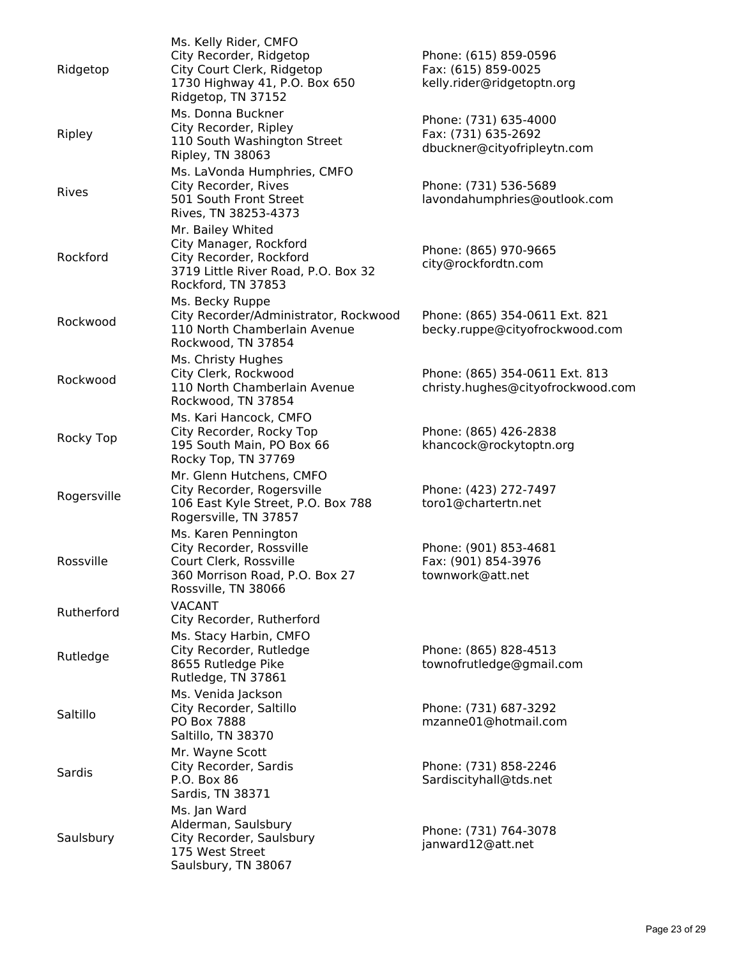| Ridgetop    | Ms. Kelly Rider, CMFO<br>City Recorder, Ridgetop<br>City Court Clerk, Ridgetop<br>1730 Highway 41, P.O. Box 650<br>Ridgetop, TN 37152 | Phone: (615) 859-0596<br>Fax: (615) 859-0025<br>kelly.rider@ridgetoptn.org  |
|-------------|---------------------------------------------------------------------------------------------------------------------------------------|-----------------------------------------------------------------------------|
| Ripley      | Ms. Donna Buckner<br>City Recorder, Ripley<br>110 South Washington Street<br>Ripley, TN 38063                                         | Phone: (731) 635-4000<br>Fax: (731) 635-2692<br>dbuckner@cityofripleytn.com |
| Rives       | Ms. LaVonda Humphries, CMFO<br>City Recorder, Rives<br>501 South Front Street<br>Rives, TN 38253-4373                                 | Phone: (731) 536-5689<br>lavondahumphries@outlook.com                       |
| Rockford    | Mr. Bailey Whited<br>City Manager, Rockford<br>City Recorder, Rockford<br>3719 Little River Road, P.O. Box 32<br>Rockford, TN 37853   | Phone: (865) 970-9665<br>city@rockfordtn.com                                |
| Rockwood    | Ms. Becky Ruppe<br>City Recorder/Administrator, Rockwood<br>110 North Chamberlain Avenue<br>Rockwood, TN 37854                        | Phone: (865) 354-0611 Ext. 821<br>becky.ruppe@cityofrockwood.com            |
| Rockwood    | Ms. Christy Hughes<br>City Clerk, Rockwood<br>110 North Chamberlain Avenue<br>Rockwood, TN 37854                                      | Phone: (865) 354-0611 Ext. 813<br>christy.hughes@cityofrockwood.com         |
| Rocky Top   | Ms. Kari Hancock, CMFO<br>City Recorder, Rocky Top<br>195 South Main, PO Box 66<br>Rocky Top, TN 37769                                | Phone: (865) 426-2838<br>khancock@rockytoptn.org                            |
| Rogersville | Mr. Glenn Hutchens, CMFO<br>City Recorder, Rogersville<br>106 East Kyle Street, P.O. Box 788<br>Rogersville, TN 37857                 | Phone: (423) 272-7497<br>toro1@chartertn.net                                |
| Rossville   | Ms. Karen Pennington<br>City Recorder, Rossville<br>Court Clerk, Rossville<br>360 Morrison Road, P.O. Box 27<br>Rossville, TN 38066   | Phone: (901) 853-4681<br>Fax: (901) 854-3976<br>townwork@att.net            |
| Rutherford  | <b>VACANT</b><br>City Recorder, Rutherford                                                                                            |                                                                             |
| Rutledge    | Ms. Stacy Harbin, CMFO<br>City Recorder, Rutledge<br>8655 Rutledge Pike<br>Rutledge, TN 37861                                         | Phone: (865) 828-4513<br>townofrutledge@gmail.com                           |
| Saltillo    | Ms. Venida Jackson<br>City Recorder, Saltillo<br>PO Box 7888<br>Saltillo, TN 38370                                                    | Phone: (731) 687-3292<br>mzanne01@hotmail.com                               |
| Sardis      | Mr. Wayne Scott<br>City Recorder, Sardis<br>P.O. Box 86<br>Sardis, TN 38371                                                           | Phone: (731) 858-2246<br>Sardiscityhall@tds.net                             |
| Saulsbury   | Ms. Jan Ward<br>Alderman, Saulsbury<br>City Recorder, Saulsbury<br>175 West Street<br>Saulsbury, TN 38067                             | Phone: (731) 764-3078<br>janward12@att.net                                  |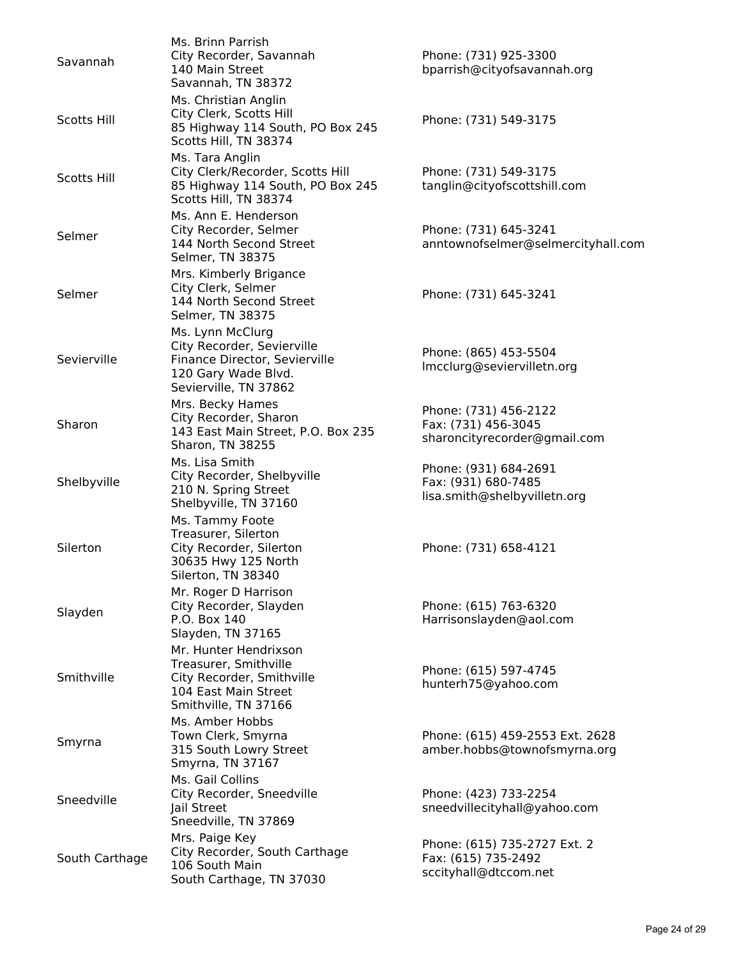| Savannah           | Ms. Brinn Parrish<br>City Recorder, Savannah<br>140 Main Street<br>Savannah, TN 38372                                           | Phone: (731) 925-3300<br>bparrish@cityofsavannah.org                         |
|--------------------|---------------------------------------------------------------------------------------------------------------------------------|------------------------------------------------------------------------------|
| <b>Scotts Hill</b> | Ms. Christian Anglin<br>City Clerk, Scotts Hill<br>85 Highway 114 South, PO Box 245<br>Scotts Hill, TN 38374                    | Phone: (731) 549-3175                                                        |
| <b>Scotts Hill</b> | Ms. Tara Anglin<br>City Clerk/Recorder, Scotts Hill<br>85 Highway 114 South, PO Box 245<br>Scotts Hill, TN 38374                | Phone: (731) 549-3175<br>tanglin@cityofscottshill.com                        |
| Selmer             | Ms. Ann E. Henderson<br>City Recorder, Selmer<br>144 North Second Street<br>Selmer, TN 38375                                    | Phone: (731) 645-3241<br>anntownofselmer@selmercityhall.com                  |
| Selmer             | Mrs. Kimberly Brigance<br>City Clerk, Selmer<br>144 North Second Street<br>Selmer, TN 38375                                     | Phone: (731) 645-3241                                                        |
| Sevierville        | Ms. Lynn McClurg<br>City Recorder, Sevierville<br>Finance Director, Sevierville<br>120 Gary Wade Blvd.<br>Sevierville, TN 37862 | Phone: (865) 453-5504<br>Imcclurg@seviervilletn.org                          |
| Sharon             | Mrs. Becky Hames<br>City Recorder, Sharon<br>143 East Main Street, P.O. Box 235<br>Sharon, TN 38255                             | Phone: (731) 456-2122<br>Fax: (731) 456-3045<br>sharoncityrecorder@gmail.com |
| Shelbyville        | Ms. Lisa Smith<br>City Recorder, Shelbyville<br>210 N. Spring Street<br>Shelbyville, TN 37160                                   | Phone: (931) 684-2691<br>Fax: (931) 680-7485<br>lisa.smith@shelbyvilletn.org |
| Silerton           | Ms. Tammy Foote<br>Treasurer, Silerton<br>City Recorder, Silerton<br>30635 Hwy 125 North<br>Silerton, TN 38340                  | Phone: (731) 658-4121                                                        |
| Slayden            | Mr. Roger D Harrison<br>City Recorder, Slayden<br>P.O. Box 140<br>Slayden, TN 37165                                             | Phone: (615) 763-6320<br>Harrisonslayden@aol.com                             |
| Smithville         | Mr. Hunter Hendrixson<br>Treasurer, Smithville<br>City Recorder, Smithville<br>104 East Main Street<br>Smithville, TN 37166     | Phone: (615) 597-4745<br>hunterh75@yahoo.com                                 |
| Smyrna             | Ms. Amber Hobbs<br>Town Clerk, Smyrna<br>315 South Lowry Street<br>Smyrna, TN 37167                                             | Phone: (615) 459-2553 Ext. 2628<br>amber.hobbs@townofsmyrna.org              |
| Sneedville         | Ms. Gail Collins<br>City Recorder, Sneedville<br>Jail Street<br>Sneedville, TN 37869                                            | Phone: (423) 733-2254<br>sneedvillecityhall@yahoo.com                        |
| South Carthage     | Mrs. Paige Key<br>City Recorder, South Carthage<br>106 South Main<br>South Carthage, TN 37030                                   | Phone: (615) 735-2727 Ext. 2<br>Fax: (615) 735-2492<br>sccityhall@dtccom.net |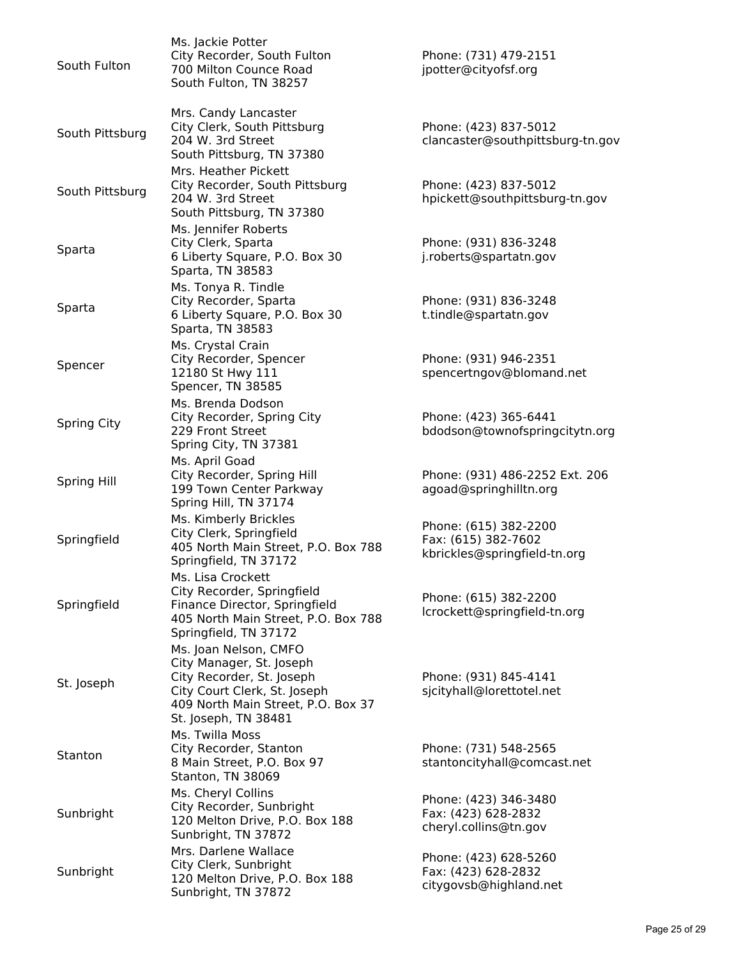| South Fulton       | Ms. Jackie Potter<br>City Recorder, South Fulton<br>700 Milton Counce Road<br>South Fulton, TN 38257                                                                         | Phone: (731) 479-2151<br>jpotter@cityofsf.org                                |
|--------------------|------------------------------------------------------------------------------------------------------------------------------------------------------------------------------|------------------------------------------------------------------------------|
| South Pittsburg    | Mrs. Candy Lancaster<br>City Clerk, South Pittsburg<br>204 W. 3rd Street<br>South Pittsburg, TN 37380                                                                        | Phone: (423) 837-5012<br>clancaster@southpittsburg-tn.gov                    |
| South Pittsburg    | Mrs. Heather Pickett<br>City Recorder, South Pittsburg<br>204 W. 3rd Street<br>South Pittsburg, TN 37380                                                                     | Phone: (423) 837-5012<br>hpickett@southpittsburg-tn.gov                      |
| Sparta             | Ms. Jennifer Roberts<br>City Clerk, Sparta<br>6 Liberty Square, P.O. Box 30<br>Sparta, TN 38583                                                                              | Phone: (931) 836-3248<br>j.roberts@spartatn.gov                              |
| Sparta             | Ms. Tonya R. Tindle<br>City Recorder, Sparta<br>6 Liberty Square, P.O. Box 30<br>Sparta, TN 38583                                                                            | Phone: (931) 836-3248<br>t.tindle@spartatn.gov                               |
| Spencer            | Ms. Crystal Crain<br>City Recorder, Spencer<br>12180 St Hwy 111<br>Spencer, TN 38585                                                                                         | Phone: (931) 946-2351<br>spencertngov@blomand.net                            |
| <b>Spring City</b> | Ms. Brenda Dodson<br>City Recorder, Spring City<br>229 Front Street<br>Spring City, TN 37381                                                                                 | Phone: (423) 365-6441<br>bdodson@townofspringcitytn.org                      |
| Spring Hill        | Ms. April Goad<br>City Recorder, Spring Hill<br>199 Town Center Parkway<br>Spring Hill, TN 37174                                                                             | Phone: (931) 486-2252 Ext. 206<br>agoad@springhilltn.org                     |
| Springfield        | Ms. Kimberly Brickles<br>City Clerk, Springfield<br>405 North Main Street, P.O. Box 788<br>Springfield, TN 37172                                                             | Phone: (615) 382-2200<br>Fax: (615) 382-7602<br>kbrickles@springfield-tn.org |
| Springfield        | Ms. Lisa Crockett<br>City Recorder, Springfield<br>Finance Director, Springfield<br>405 North Main Street, P.O. Box 788<br>Springfield, TN 37172                             | Phone: (615) 382-2200<br>lcrockett@springfield-tn.org                        |
| St. Joseph         | Ms. Joan Nelson, CMFO<br>City Manager, St. Joseph<br>City Recorder, St. Joseph<br>City Court Clerk, St. Joseph<br>409 North Main Street, P.O. Box 37<br>St. Joseph, TN 38481 | Phone: (931) 845-4141<br>sjcityhall@lorettotel.net                           |
| Stanton            | Ms. Twilla Moss<br>City Recorder, Stanton<br>8 Main Street, P.O. Box 97<br>Stanton, TN 38069                                                                                 | Phone: (731) 548-2565<br>stantoncityhall@comcast.net                         |
| Sunbright          | Ms. Cheryl Collins<br>City Recorder, Sunbright<br>120 Melton Drive, P.O. Box 188<br>Sunbright, TN 37872                                                                      | Phone: (423) 346-3480<br>Fax: (423) 628-2832<br>cheryl.collins@tn.gov        |
| Sunbright          | Mrs. Darlene Wallace<br>City Clerk, Sunbright<br>120 Melton Drive, P.O. Box 188<br>Sunbright, TN 37872                                                                       | Phone: (423) 628-5260<br>Fax: (423) 628-2832<br>citygovsb@highland.net       |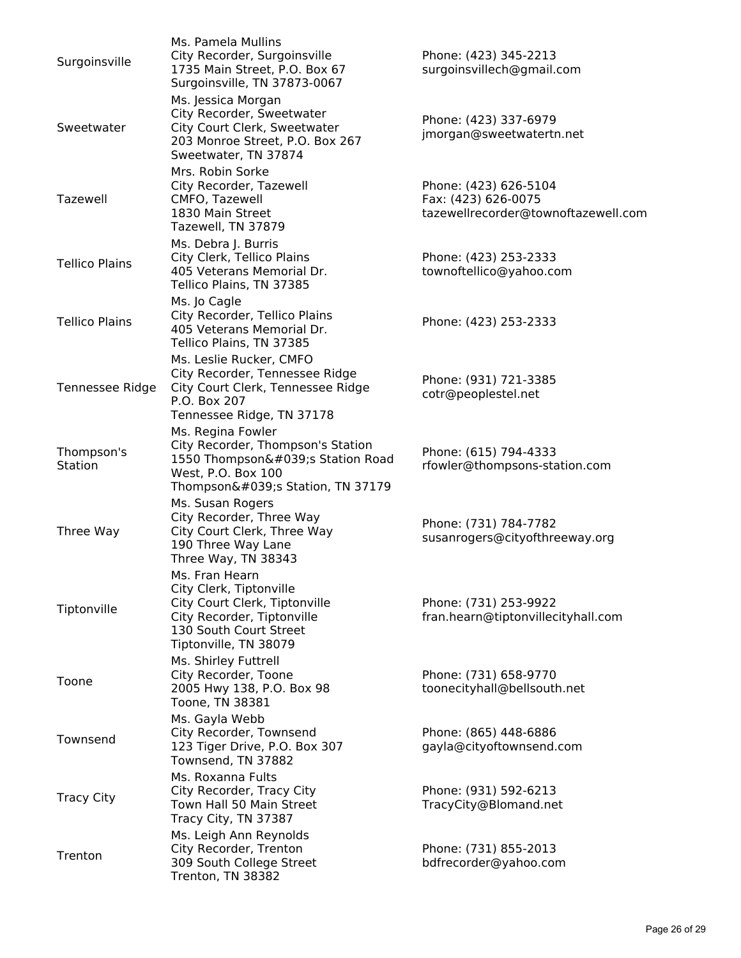| Surgoinsville         | Ms. Pamela Mullins<br>City Recorder, Surgoinsville<br>1735 Main Street, P.O. Box 67<br>Surgoinsville, TN 37873-0067                                         | Phone: (423) 345-2213<br>surgoinsvillech@gmail.com                                  |
|-----------------------|-------------------------------------------------------------------------------------------------------------------------------------------------------------|-------------------------------------------------------------------------------------|
| Sweetwater            | Ms. Jessica Morgan<br>City Recorder, Sweetwater<br>City Court Clerk, Sweetwater<br>203 Monroe Street, P.O. Box 267<br>Sweetwater, TN 37874                  | Phone: (423) 337-6979<br>jmorgan@sweetwatertn.net                                   |
| Tazewell              | Mrs. Robin Sorke<br>City Recorder, Tazewell<br>CMFO, Tazewell<br>1830 Main Street<br>Tazewell, TN 37879                                                     | Phone: (423) 626-5104<br>Fax: (423) 626-0075<br>tazewellrecorder@townoftazewell.com |
| <b>Tellico Plains</b> | Ms. Debra J. Burris<br>City Clerk, Tellico Plains<br>405 Veterans Memorial Dr.<br>Tellico Plains, TN 37385                                                  | Phone: (423) 253-2333<br>townoftellico@yahoo.com                                    |
| <b>Tellico Plains</b> | Ms. Jo Cagle<br>City Recorder, Tellico Plains<br>405 Veterans Memorial Dr.<br>Tellico Plains, TN 37385                                                      | Phone: (423) 253-2333                                                               |
| Tennessee Ridge       | Ms. Leslie Rucker, CMFO<br>City Recorder, Tennessee Ridge<br>City Court Clerk, Tennessee Ridge<br>P.O. Box 207<br>Tennessee Ridge, TN 37178                 | Phone: (931) 721-3385<br>cotr@peoplestel.net                                        |
| Thompson's<br>Station | Ms. Regina Fowler<br>City Recorder, Thompson's Station<br>1550 Thompson's Station Road<br>West, P.O. Box 100<br>Thompson's Station, TN 37179                | Phone: (615) 794-4333<br>rfowler@thompsons-station.com                              |
| Three Way             | Ms. Susan Rogers<br>City Recorder, Three Way<br>City Court Clerk, Three Way<br>190 Three Way Lane<br>Three Way, TN 38343                                    | Phone: (731) 784-7782<br>susanrogers@cityofthreeway.org                             |
| Tiptonville           | Ms. Fran Hearn<br>City Clerk, Tiptonville<br>City Court Clerk, Tiptonville<br>City Recorder, Tiptonville<br>130 South Court Street<br>Tiptonville, TN 38079 | Phone: (731) 253-9922<br>fran.hearn@tiptonvillecityhall.com                         |
| Toone                 | Ms. Shirley Futtrell<br>City Recorder, Toone<br>2005 Hwy 138, P.O. Box 98<br>Toone, TN 38381                                                                | Phone: (731) 658-9770<br>toonecityhall@bellsouth.net                                |
| Townsend              | Ms. Gayla Webb<br>City Recorder, Townsend<br>123 Tiger Drive, P.O. Box 307<br>Townsend, TN 37882                                                            | Phone: (865) 448-6886<br>gayla@cityoftownsend.com                                   |
| <b>Tracy City</b>     | Ms. Roxanna Fults<br>City Recorder, Tracy City<br>Town Hall 50 Main Street<br>Tracy City, TN 37387                                                          | Phone: (931) 592-6213<br>TracyCity@Blomand.net                                      |
| Trenton               | Ms. Leigh Ann Reynolds<br>City Recorder, Trenton<br>309 South College Street<br>Trenton, TN 38382                                                           | Phone: (731) 855-2013<br>bdfrecorder@yahoo.com                                      |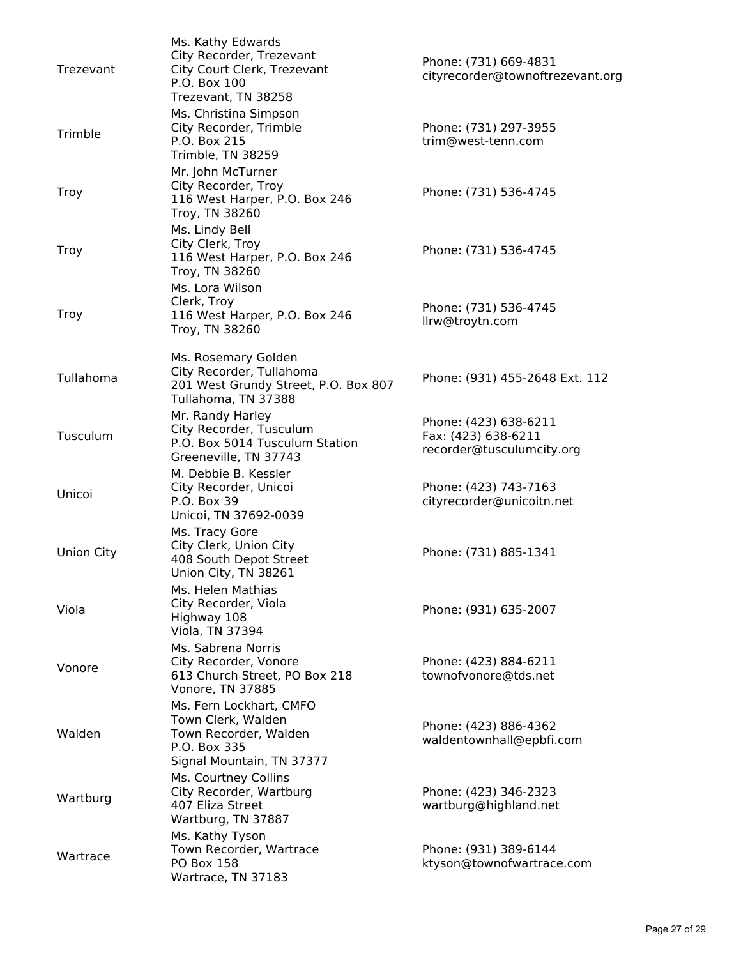| Trezevant   | Ms. Kathy Edwards<br>City Recorder, Trezevant<br>City Court Clerk, Trezevant<br>P.O. Box 100<br>Trezevant, TN 38258 | Phone: (731) 669-4831<br>cityrecorder@townoftrezevant.org                 |
|-------------|---------------------------------------------------------------------------------------------------------------------|---------------------------------------------------------------------------|
| Trimble     | Ms. Christina Simpson<br>City Recorder, Trimble<br>P.O. Box 215<br>Trimble, TN 38259                                | Phone: (731) 297-3955<br>trim@west-tenn.com                               |
| <b>Troy</b> | Mr. John McTurner<br>City Recorder, Troy<br>116 West Harper, P.O. Box 246<br>Troy, TN 38260                         | Phone: (731) 536-4745                                                     |
| <b>Troy</b> | Ms. Lindy Bell<br>City Clerk, Troy<br>116 West Harper, P.O. Box 246<br>Troy, TN 38260                               | Phone: (731) 536-4745                                                     |
| Troy        | Ms. Lora Wilson<br>Clerk, Troy<br>116 West Harper, P.O. Box 246<br>Troy, TN 38260                                   | Phone: (731) 536-4745<br>llrw@troytn.com                                  |
| Tullahoma   | Ms. Rosemary Golden<br>City Recorder, Tullahoma<br>201 West Grundy Street, P.O. Box 807<br>Tullahoma, TN 37388      | Phone: (931) 455-2648 Ext. 112                                            |
| Tusculum    | Mr. Randy Harley<br>City Recorder, Tusculum<br>P.O. Box 5014 Tusculum Station<br>Greeneville, TN 37743              | Phone: (423) 638-6211<br>Fax: (423) 638-6211<br>recorder@tusculumcity.org |
| Unicoi      | M. Debbie B. Kessler<br>City Recorder, Unicoi<br>P.O. Box 39<br>Unicoi, TN 37692-0039                               | Phone: (423) 743-7163<br>cityrecorder@unicoitn.net                        |
| Union City  | Ms. Tracy Gore<br>City Clerk, Union City<br>408 South Depot Street<br>Union City, TN 38261                          | Phone: (731) 885-1341                                                     |
| Viola       | Ms. Helen Mathias<br>City Recorder, Viola<br>Highway 108<br>Viola, TN 37394                                         | Phone: (931) 635-2007                                                     |
| Vonore      | Ms. Sabrena Norris<br>City Recorder, Vonore<br>613 Church Street, PO Box 218<br>Vonore, TN 37885                    | Phone: (423) 884-6211<br>townofvonore@tds.net                             |
| Walden      | Ms. Fern Lockhart, CMFO<br>Town Clerk, Walden<br>Town Recorder, Walden<br>P.O. Box 335<br>Signal Mountain, TN 37377 | Phone: (423) 886-4362<br>waldentownhall@epbfi.com                         |
| Wartburg    | Ms. Courtney Collins<br>City Recorder, Wartburg<br>407 Eliza Street<br>Wartburg, TN 37887                           | Phone: (423) 346-2323<br>wartburg@highland.net                            |
| Wartrace    | Ms. Kathy Tyson<br>Town Recorder, Wartrace<br><b>PO Box 158</b><br>Wartrace, TN 37183                               | Phone: (931) 389-6144<br>ktyson@townofwartrace.com                        |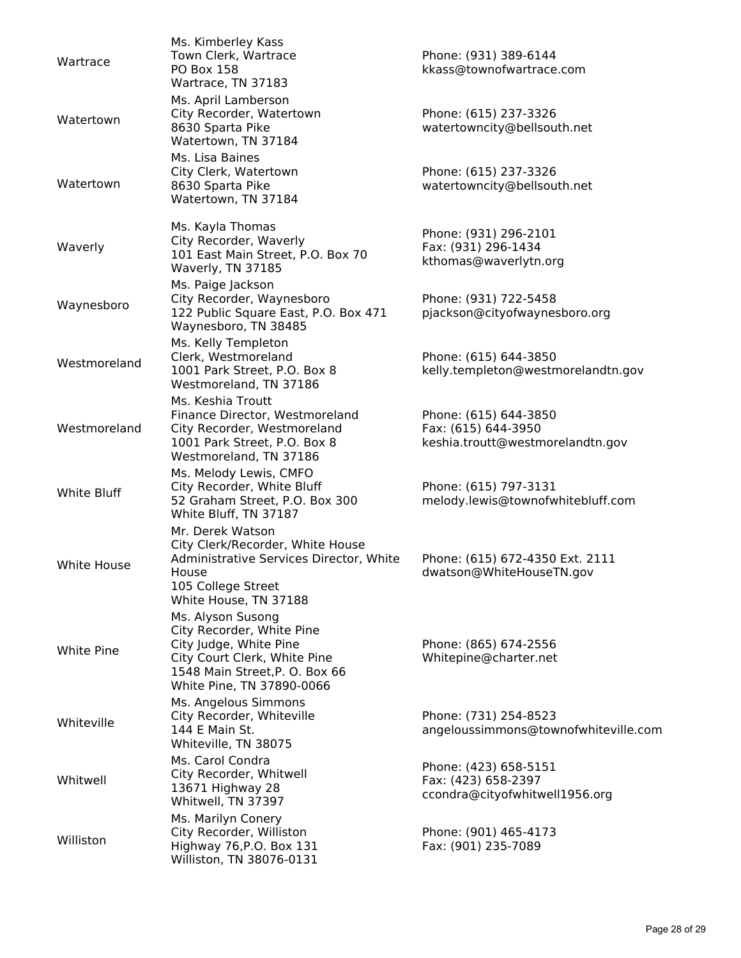| Wartrace     | Ms. Kimberley Kass<br>Town Clerk, Wartrace<br><b>PO Box 158</b><br>Wartrace, TN 37183                                                                                   | Phone: (931) 389-6144<br>kkass@townofwartrace.com                                |
|--------------|-------------------------------------------------------------------------------------------------------------------------------------------------------------------------|----------------------------------------------------------------------------------|
| Watertown    | Ms. April Lamberson<br>City Recorder, Watertown<br>8630 Sparta Pike<br>Watertown, TN 37184                                                                              | Phone: (615) 237-3326<br>watertowncity@bellsouth.net                             |
| Watertown    | Ms. Lisa Baines<br>City Clerk, Watertown<br>8630 Sparta Pike<br>Watertown, TN 37184                                                                                     | Phone: (615) 237-3326<br>watertowncity@bellsouth.net                             |
| Waverly      | Ms. Kayla Thomas<br>City Recorder, Waverly<br>101 East Main Street, P.O. Box 70<br>Waverly, TN 37185                                                                    | Phone: (931) 296-2101<br>Fax: (931) 296-1434<br>kthomas@waverlytn.org            |
| Waynesboro   | Ms. Paige Jackson<br>City Recorder, Waynesboro<br>122 Public Square East, P.O. Box 471<br>Waynesboro, TN 38485                                                          | Phone: (931) 722-5458<br>pjackson@cityofwaynesboro.org                           |
| Westmoreland | Ms. Kelly Templeton<br>Clerk, Westmoreland<br>1001 Park Street, P.O. Box 8<br>Westmoreland, TN 37186                                                                    | Phone: (615) 644-3850<br>kelly.templeton@westmorelandtn.gov                      |
| Westmoreland | Ms. Keshia Troutt<br>Finance Director, Westmoreland<br>City Recorder, Westmoreland<br>1001 Park Street, P.O. Box 8<br>Westmoreland, TN 37186                            | Phone: (615) 644-3850<br>Fax: (615) 644-3950<br>keshia.troutt@westmorelandtn.gov |
| White Bluff  | Ms. Melody Lewis, CMFO<br>City Recorder, White Bluff<br>52 Graham Street, P.O. Box 300<br>White Bluff, TN 37187                                                         | Phone: (615) 797-3131<br>melody.lewis@townofwhitebluff.com                       |
| White House  | Mr. Derek Watson<br>City Clerk/Recorder, White House<br>Administrative Services Director, White<br>House<br>105 College Street<br>White House, TN 37188                 | Phone: (615) 672-4350 Ext. 2111<br>dwatson@WhiteHouseTN.gov                      |
| White Pine   | Ms. Alyson Susong<br>City Recorder, White Pine<br>City Judge, White Pine<br>City Court Clerk, White Pine<br>1548 Main Street, P. O. Box 66<br>White Pine, TN 37890-0066 | Phone: (865) 674-2556<br>Whitepine@charter.net                                   |
| Whiteville   | Ms. Angelous Simmons<br>City Recorder, Whiteville<br>144 E Main St.<br>Whiteville, TN 38075                                                                             | Phone: (731) 254-8523<br>angeloussimmons@townofwhiteville.com                    |
| Whitwell     | Ms. Carol Condra<br>City Recorder, Whitwell<br>13671 Highway 28<br>Whitwell, TN 37397                                                                                   | Phone: (423) 658-5151<br>Fax: (423) 658-2397<br>ccondra@cityofwhitwell1956.org   |
| Williston    | Ms. Marilyn Conery<br>City Recorder, Williston<br>Highway 76, P.O. Box 131<br>Williston, TN 38076-0131                                                                  | Phone: (901) 465-4173<br>Fax: (901) 235-7089                                     |